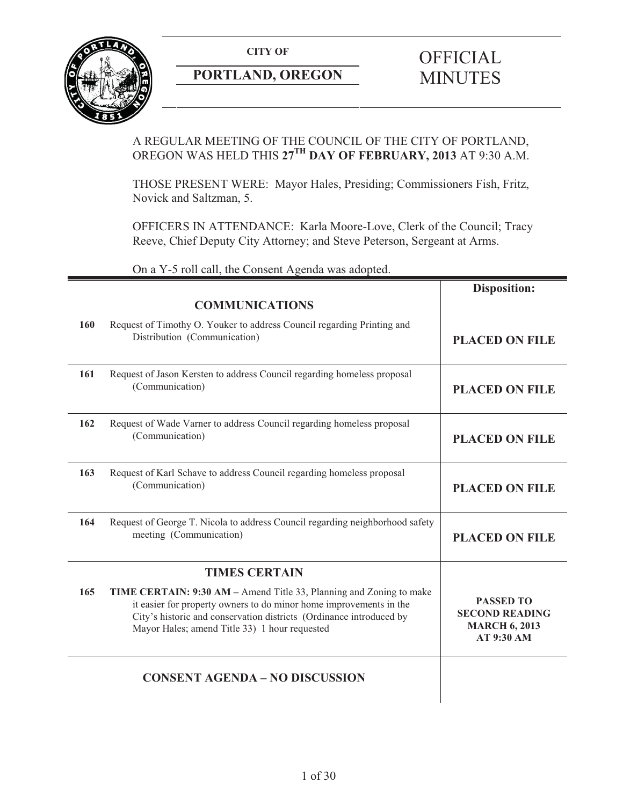**CITY OF** 



## **PORTLAND, OREGON**

# **OFFICIAL** MINUTES

## A REGULAR MEETING OF THE COUNCIL OF THE CITY OF PORTLAND, OREGON WAS HELD THIS **27TH DAY OF FEBRUARY, 2013** AT 9:30 A.M.

THOSE PRESENT WERE: Mayor Hales, Presiding; Commissioners Fish, Fritz, Novick and Saltzman, 5.

OFFICERS IN ATTENDANCE: Karla Moore-Love, Clerk of the Council; Tracy Reeve, Chief Deputy City Attorney; and Steve Peterson, Sergeant at Arms.

On a Y-5 roll call, the Consent Agenda was adopted.

|     |                                                                                                                                                                                                                                                                   | <b>Disposition:</b>                                                             |
|-----|-------------------------------------------------------------------------------------------------------------------------------------------------------------------------------------------------------------------------------------------------------------------|---------------------------------------------------------------------------------|
|     | <b>COMMUNICATIONS</b>                                                                                                                                                                                                                                             |                                                                                 |
| 160 | Request of Timothy O. Youker to address Council regarding Printing and<br>Distribution (Communication)                                                                                                                                                            | <b>PLACED ON FILE</b>                                                           |
| 161 | Request of Jason Kersten to address Council regarding homeless proposal<br>(Communication)                                                                                                                                                                        | <b>PLACED ON FILE</b>                                                           |
| 162 | Request of Wade Varner to address Council regarding homeless proposal<br>(Communication)                                                                                                                                                                          | <b>PLACED ON FILE</b>                                                           |
| 163 | Request of Karl Schave to address Council regarding homeless proposal<br>(Communication)                                                                                                                                                                          | <b>PLACED ON FILE</b>                                                           |
| 164 | Request of George T. Nicola to address Council regarding neighborhood safety<br>meeting (Communication)                                                                                                                                                           | <b>PLACED ON FILE</b>                                                           |
|     | <b>TIMES CERTAIN</b>                                                                                                                                                                                                                                              |                                                                                 |
| 165 | TIME CERTAIN: 9:30 AM – Amend Title 33, Planning and Zoning to make<br>it easier for property owners to do minor home improvements in the<br>City's historic and conservation districts (Ordinance introduced by<br>Mayor Hales; amend Title 33) 1 hour requested | <b>PASSED TO</b><br><b>SECOND READING</b><br><b>MARCH 6, 2013</b><br>AT 9:30 AM |
|     | <b>CONSENT AGENDA - NO DISCUSSION</b>                                                                                                                                                                                                                             |                                                                                 |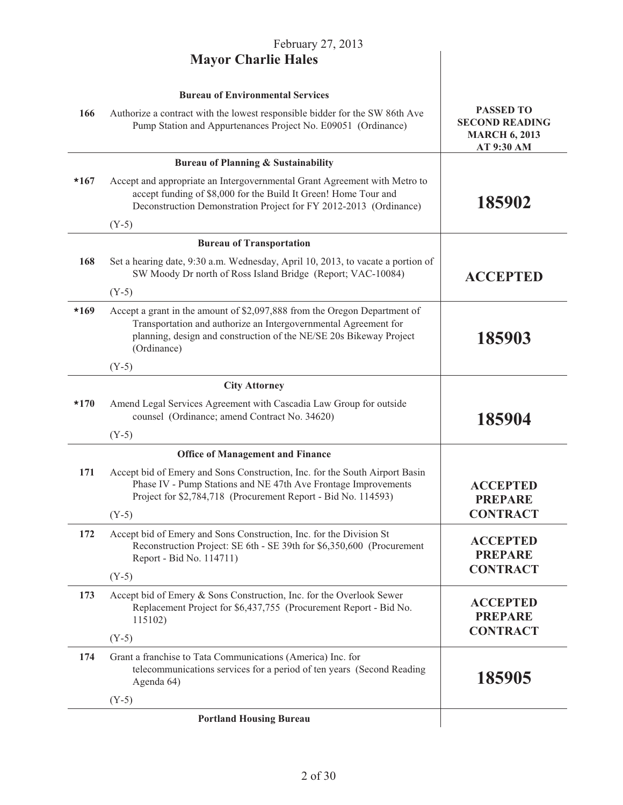|        | February 27, 2013                                                                                                                                                                                                                 |                                                                    |
|--------|-----------------------------------------------------------------------------------------------------------------------------------------------------------------------------------------------------------------------------------|--------------------------------------------------------------------|
|        | <b>Mayor Charlie Hales</b>                                                                                                                                                                                                        |                                                                    |
| 166    | <b>Bureau of Environmental Services</b><br>Authorize a contract with the lowest responsible bidder for the SW 86th Ave                                                                                                            | <b>PASSED TO</b>                                                   |
|        | Pump Station and Appurtenances Project No. E09051 (Ordinance)                                                                                                                                                                     | <b>SECOND READING</b><br><b>MARCH 6, 2013</b><br><b>AT 9:30 AM</b> |
|        | <b>Bureau of Planning &amp; Sustainability</b>                                                                                                                                                                                    |                                                                    |
| $*167$ | Accept and appropriate an Intergovernmental Grant Agreement with Metro to<br>accept funding of \$8,000 for the Build It Green! Home Tour and<br>Deconstruction Demonstration Project for FY 2012-2013 (Ordinance)                 | 185902                                                             |
|        | $(Y-5)$                                                                                                                                                                                                                           |                                                                    |
|        | <b>Bureau of Transportation</b>                                                                                                                                                                                                   |                                                                    |
| 168    | Set a hearing date, 9:30 a.m. Wednesday, April 10, 2013, to vacate a portion of<br>SW Moody Dr north of Ross Island Bridge (Report; VAC-10084)                                                                                    | <b>ACCEPTED</b>                                                    |
|        | $(Y-5)$                                                                                                                                                                                                                           |                                                                    |
| $*169$ | Accept a grant in the amount of \$2,097,888 from the Oregon Department of<br>Transportation and authorize an Intergovernmental Agreement for<br>planning, design and construction of the NE/SE 20s Bikeway Project<br>(Ordinance) | 185903                                                             |
|        | $(Y-5)$                                                                                                                                                                                                                           |                                                                    |
|        | <b>City Attorney</b>                                                                                                                                                                                                              |                                                                    |
| $*170$ | Amend Legal Services Agreement with Cascadia Law Group for outside<br>counsel (Ordinance; amend Contract No. 34620)                                                                                                               | 185904                                                             |
|        | $(Y-5)$                                                                                                                                                                                                                           |                                                                    |
|        | <b>Office of Management and Finance</b>                                                                                                                                                                                           |                                                                    |
| 171    | Accept bid of Emery and Sons Construction, Inc. for the South Airport Basin<br>Phase IV - Pump Stations and NE 47th Ave Frontage Improvements<br>Project for \$2,784,718 (Procurement Report - Bid No. 114593)                    | <b>ACCEPTED</b><br><b>PREPARE</b><br><b>CONTRACT</b>               |
|        | $(Y-5)$                                                                                                                                                                                                                           |                                                                    |
| 172    | Accept bid of Emery and Sons Construction, Inc. for the Division St<br>Reconstruction Project: SE 6th - SE 39th for \$6,350,600 (Procurement<br>Report - Bid No. 114711)                                                          | <b>ACCEPTED</b><br><b>PREPARE</b>                                  |
|        | $(Y-5)$                                                                                                                                                                                                                           | <b>CONTRACT</b>                                                    |
| 173    | Accept bid of Emery & Sons Construction, Inc. for the Overlook Sewer<br>Replacement Project for \$6,437,755 (Procurement Report - Bid No.<br>115102)                                                                              | <b>ACCEPTED</b><br><b>PREPARE</b>                                  |
|        | $(Y-5)$                                                                                                                                                                                                                           | <b>CONTRACT</b>                                                    |
| 174    | Grant a franchise to Tata Communications (America) Inc. for<br>telecommunications services for a period of ten years (Second Reading<br>Agenda 64)                                                                                | 185905                                                             |
|        | $(Y-5)$                                                                                                                                                                                                                           |                                                                    |
|        | <b>Portland Housing Bureau</b>                                                                                                                                                                                                    |                                                                    |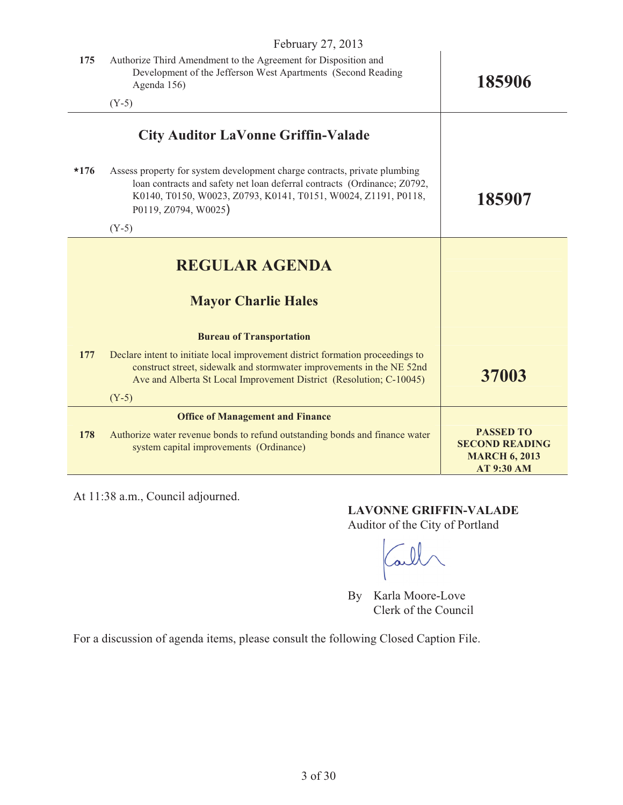|        | February 27, 2013                                                                                                                                                                                                                               |                                                                                        |  |
|--------|-------------------------------------------------------------------------------------------------------------------------------------------------------------------------------------------------------------------------------------------------|----------------------------------------------------------------------------------------|--|
| 175    | Authorize Third Amendment to the Agreement for Disposition and<br>Development of the Jefferson West Apartments (Second Reading<br>Agenda 156)                                                                                                   | 185906                                                                                 |  |
|        | $(Y-5)$                                                                                                                                                                                                                                         |                                                                                        |  |
|        | <b>City Auditor LaVonne Griffin-Valade</b>                                                                                                                                                                                                      |                                                                                        |  |
| $*176$ | Assess property for system development charge contracts, private plumbing<br>loan contracts and safety net loan deferral contracts (Ordinance; Z0792,<br>K0140, T0150, W0023, Z0793, K0141, T0151, W0024, Z1191, P0118,<br>P0119, Z0794, W0025) | 185907                                                                                 |  |
|        | $(Y-5)$                                                                                                                                                                                                                                         |                                                                                        |  |
|        | <b>REGULAR AGENDA</b>                                                                                                                                                                                                                           |                                                                                        |  |
|        | <b>Mayor Charlie Hales</b>                                                                                                                                                                                                                      |                                                                                        |  |
|        | <b>Bureau of Transportation</b>                                                                                                                                                                                                                 |                                                                                        |  |
| 177    | Declare intent to initiate local improvement district formation proceedings to<br>construct street, sidewalk and stormwater improvements in the NE 52nd<br>Ave and Alberta St Local Improvement District (Resolution; C-10045)                  | 37003                                                                                  |  |
|        | $(Y-5)$                                                                                                                                                                                                                                         |                                                                                        |  |
|        | <b>Office of Management and Finance</b>                                                                                                                                                                                                         |                                                                                        |  |
| 178    | Authorize water revenue bonds to refund outstanding bonds and finance water<br>system capital improvements (Ordinance)                                                                                                                          | <b>PASSED TO</b><br><b>SECOND READING</b><br><b>MARCH 6, 2013</b><br><b>AT 9:30 AM</b> |  |

At 11:38 a.m., Council adjourned.

## **LAVONNE GRIFFIN-VALADE**

Auditor of the City of Portland

Carl

By Karla Moore-Love Clerk of the Council

For a discussion of agenda items, please consult the following Closed Caption File.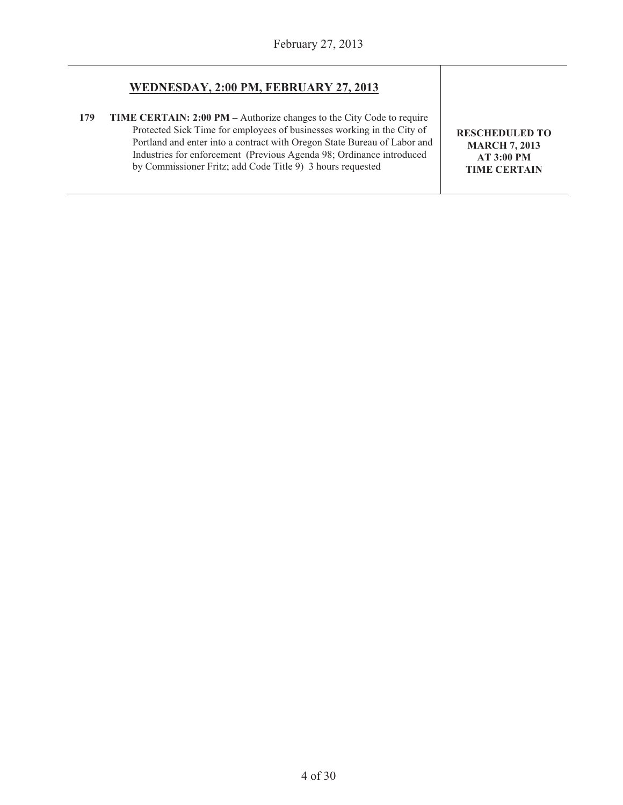#### **WEDNESDAY, 2:00 PM, FEBRUARY 27, 2013**

**179 TIME CERTAIN: 2:00 PM –** Authorize changes to the City Code to require Protected Sick Time for employees of businesses working in the City of Portland and enter into a contract with Oregon State Bureau of Labor and Industries for enforcement (Previous Agenda 98; Ordinance introduced by Commissioner Fritz; add Code Title 9) 3 hours requested

**RESCHEDULED TO MARCH 7, 2013 AT 3:00 PM TIME CERTAIN**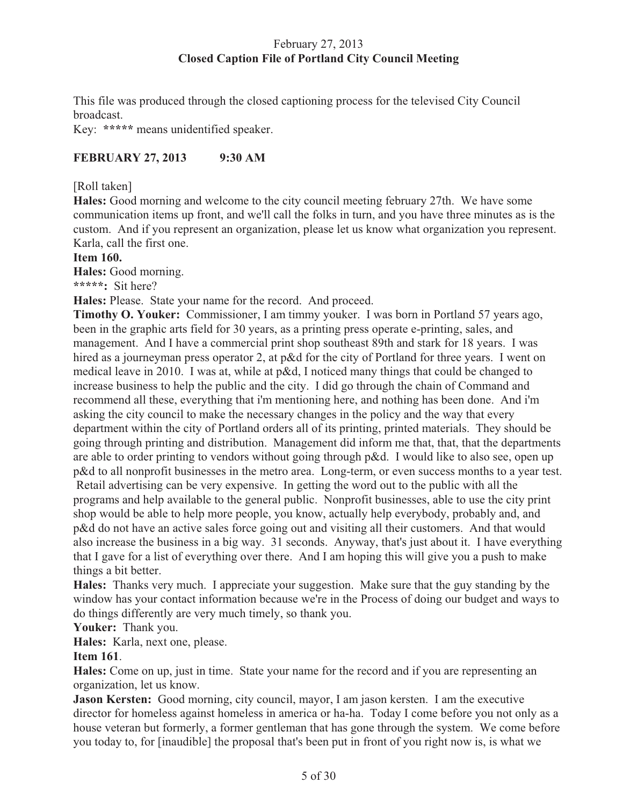## February 27, 2013 **Closed Caption File of Portland City Council Meeting**

This file was produced through the closed captioning process for the televised City Council broadcast.

Key: **\*\*\*\*\*** means unidentified speaker.

## **FEBRUARY 27, 2013 9:30 AM**

## [Roll taken]

**Hales:** Good morning and welcome to the city council meeting february 27th. We have some communication items up front, and we'll call the folks in turn, and you have three minutes as is the custom. And if you represent an organization, please let us know what organization you represent. Karla, call the first one.

#### **Item 160.**

**Hales:** Good morning.

**\*\*\*\*\*:** Sit here?

**Hales:** Please. State your name for the record. And proceed.

**Timothy O. Youker:** Commissioner, I am timmy youker. I was born in Portland 57 years ago, been in the graphic arts field for 30 years, as a printing press operate e-printing, sales, and management. And I have a commercial print shop southeast 89th and stark for 18 years. I was hired as a journeyman press operator 2, at p&d for the city of Portland for three years. I went on medical leave in 2010. I was at, while at p&d, I noticed many things that could be changed to increase business to help the public and the city. I did go through the chain of Command and recommend all these, everything that i'm mentioning here, and nothing has been done. And i'm asking the city council to make the necessary changes in the policy and the way that every department within the city of Portland orders all of its printing, printed materials. They should be going through printing and distribution. Management did inform me that, that, that the departments are able to order printing to vendors without going through p&d. I would like to also see, open up p&d to all nonprofit businesses in the metro area. Long-term, or even success months to a year test. Retail advertising can be very expensive. In getting the word out to the public with all the programs and help available to the general public. Nonprofit businesses, able to use the city print shop would be able to help more people, you know, actually help everybody, probably and, and p&d do not have an active sales force going out and visiting all their customers. And that would also increase the business in a big way. 31 seconds. Anyway, that's just about it. I have everything that I gave for a list of everything over there. And I am hoping this will give you a push to make things a bit better.

**Hales:** Thanks very much. I appreciate your suggestion. Make sure that the guy standing by the window has your contact information because we're in the Process of doing our budget and ways to do things differently are very much timely, so thank you.

**Youker:** Thank you.

**Hales:** Karla, next one, please.

## **Item 161**.

**Hales:** Come on up, just in time. State your name for the record and if you are representing an organization, let us know.

**Jason Kersten:** Good morning, city council, mayor, I am jason kersten. I am the executive director for homeless against homeless in america or ha-ha. Today I come before you not only as a house veteran but formerly, a former gentleman that has gone through the system. We come before you today to, for [inaudible] the proposal that's been put in front of you right now is, is what we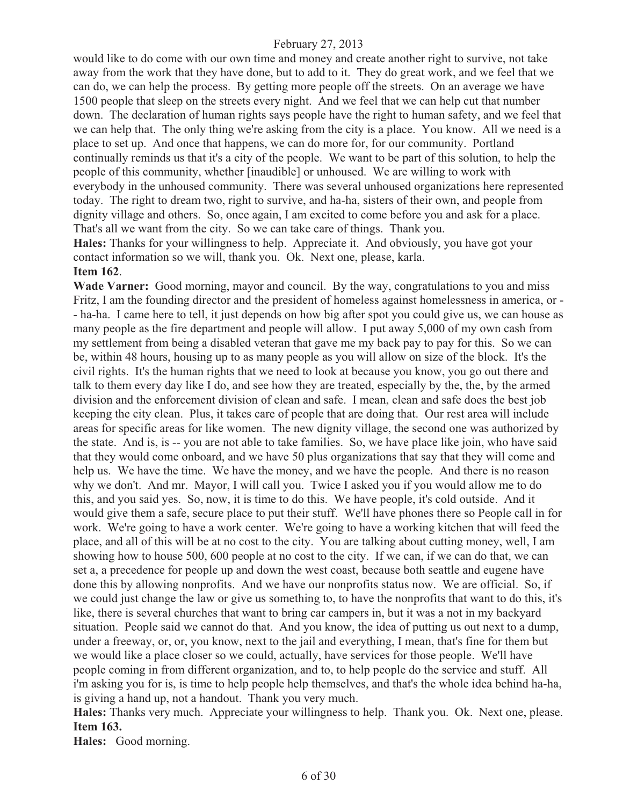would like to do come with our own time and money and create another right to survive, not take away from the work that they have done, but to add to it. They do great work, and we feel that we can do, we can help the process. By getting more people off the streets. On an average we have 1500 people that sleep on the streets every night. And we feel that we can help cut that number down. The declaration of human rights says people have the right to human safety, and we feel that we can help that. The only thing we're asking from the city is a place. You know. All we need is a place to set up. And once that happens, we can do more for, for our community. Portland continually reminds us that it's a city of the people. We want to be part of this solution, to help the people of this community, whether [inaudible] or unhoused. We are willing to work with everybody in the unhoused community. There was several unhoused organizations here represented today. The right to dream two, right to survive, and ha-ha, sisters of their own, and people from dignity village and others. So, once again, I am excited to come before you and ask for a place. That's all we want from the city. So we can take care of things. Thank you.

**Hales:** Thanks for your willingness to help. Appreciate it. And obviously, you have got your contact information so we will, thank you. Ok. Next one, please, karla. **Item 162**.

## **Wade Varner:** Good morning, mayor and council. By the way, congratulations to you and miss Fritz, I am the founding director and the president of homeless against homelessness in america, or - - ha-ha. I came here to tell, it just depends on how big after spot you could give us, we can house as many people as the fire department and people will allow. I put away 5,000 of my own cash from my settlement from being a disabled veteran that gave me my back pay to pay for this. So we can be, within 48 hours, housing up to as many people as you will allow on size of the block. It's the civil rights. It's the human rights that we need to look at because you know, you go out there and talk to them every day like I do, and see how they are treated, especially by the, the, by the armed division and the enforcement division of clean and safe. I mean, clean and safe does the best job keeping the city clean. Plus, it takes care of people that are doing that. Our rest area will include areas for specific areas for like women. The new dignity village, the second one was authorized by the state. And is, is -- you are not able to take families. So, we have place like join, who have said that they would come onboard, and we have 50 plus organizations that say that they will come and help us. We have the time. We have the money, and we have the people. And there is no reason why we don't. And mr. Mayor, I will call you. Twice I asked you if you would allow me to do this, and you said yes. So, now, it is time to do this. We have people, it's cold outside. And it would give them a safe, secure place to put their stuff. We'll have phones there so People call in for work. We're going to have a work center. We're going to have a working kitchen that will feed the place, and all of this will be at no cost to the city. You are talking about cutting money, well, I am showing how to house 500, 600 people at no cost to the city. If we can, if we can do that, we can set a, a precedence for people up and down the west coast, because both seattle and eugene have done this by allowing nonprofits. And we have our nonprofits status now. We are official. So, if we could just change the law or give us something to, to have the nonprofits that want to do this, it's like, there is several churches that want to bring car campers in, but it was a not in my backyard situation. People said we cannot do that. And you know, the idea of putting us out next to a dump, under a freeway, or, or, you know, next to the jail and everything, I mean, that's fine for them but we would like a place closer so we could, actually, have services for those people. We'll have people coming in from different organization, and to, to help people do the service and stuff. All i'm asking you for is, is time to help people help themselves, and that's the whole idea behind ha-ha, is giving a hand up, not a handout. Thank you very much.

**Hales:** Thanks very much. Appreciate your willingness to help. Thank you. Ok. Next one, please. **Item 163.** 

**Hales:** Good morning.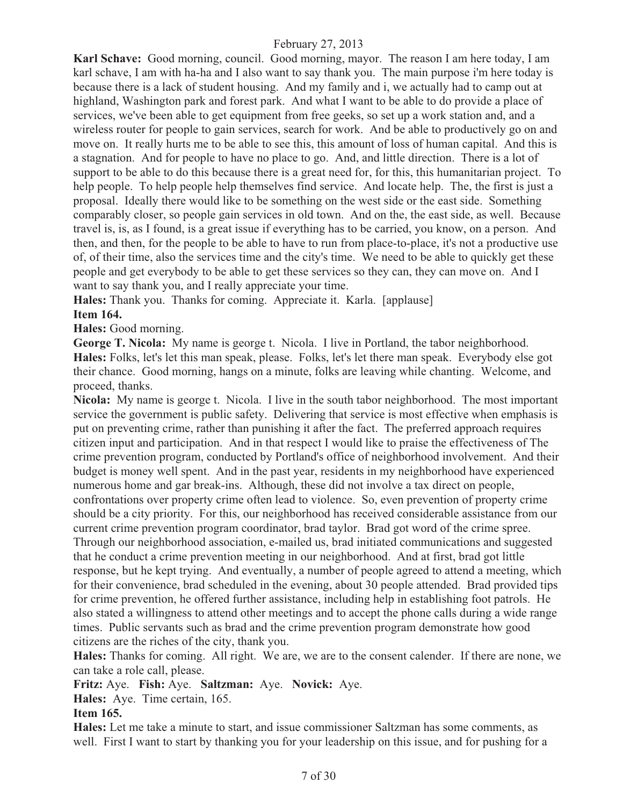**Karl Schave:** Good morning, council. Good morning, mayor. The reason I am here today, I am karl schave, I am with ha-ha and I also want to say thank you. The main purpose i'm here today is because there is a lack of student housing. And my family and i, we actually had to camp out at highland, Washington park and forest park. And what I want to be able to do provide a place of services, we've been able to get equipment from free geeks, so set up a work station and, and a wireless router for people to gain services, search for work. And be able to productively go on and move on. It really hurts me to be able to see this, this amount of loss of human capital. And this is a stagnation. And for people to have no place to go. And, and little direction. There is a lot of support to be able to do this because there is a great need for, for this, this humanitarian project. To help people. To help people help themselves find service. And locate help. The, the first is just a proposal. Ideally there would like to be something on the west side or the east side. Something comparably closer, so people gain services in old town. And on the, the east side, as well. Because travel is, is, as I found, is a great issue if everything has to be carried, you know, on a person. And then, and then, for the people to be able to have to run from place-to-place, it's not a productive use of, of their time, also the services time and the city's time. We need to be able to quickly get these people and get everybody to be able to get these services so they can, they can move on. And I want to say thank you, and I really appreciate your time.

**Hales:** Thank you. Thanks for coming. Appreciate it. Karla. [applause] **Item 164.**

**Hales:** Good morning.

**George T. Nicola:** My name is george t. Nicola. I live in Portland, the tabor neighborhood. **Hales:** Folks, let's let this man speak, please. Folks, let's let there man speak. Everybody else got their chance. Good morning, hangs on a minute, folks are leaving while chanting. Welcome, and proceed, thanks.

**Nicola:** My name is george t. Nicola. I live in the south tabor neighborhood. The most important service the government is public safety. Delivering that service is most effective when emphasis is put on preventing crime, rather than punishing it after the fact. The preferred approach requires citizen input and participation. And in that respect I would like to praise the effectiveness of The crime prevention program, conducted by Portland's office of neighborhood involvement. And their budget is money well spent. And in the past year, residents in my neighborhood have experienced numerous home and gar break-ins. Although, these did not involve a tax direct on people, confrontations over property crime often lead to violence. So, even prevention of property crime should be a city priority. For this, our neighborhood has received considerable assistance from our current crime prevention program coordinator, brad taylor. Brad got word of the crime spree. Through our neighborhood association, e-mailed us, brad initiated communications and suggested that he conduct a crime prevention meeting in our neighborhood. And at first, brad got little response, but he kept trying. And eventually, a number of people agreed to attend a meeting, which for their convenience, brad scheduled in the evening, about 30 people attended. Brad provided tips for crime prevention, he offered further assistance, including help in establishing foot patrols. He also stated a willingness to attend other meetings and to accept the phone calls during a wide range times. Public servants such as brad and the crime prevention program demonstrate how good citizens are the riches of the city, thank you.

**Hales:** Thanks for coming. All right. We are, we are to the consent calender. If there are none, we can take a role call, please.

**Fritz:** Aye. **Fish:** Aye. **Saltzman:** Aye. **Novick:** Aye.

**Hales:** Aye. Time certain, 165.

#### **Item 165.**

**Hales:** Let me take a minute to start, and issue commissioner Saltzman has some comments, as well. First I want to start by thanking you for your leadership on this issue, and for pushing for a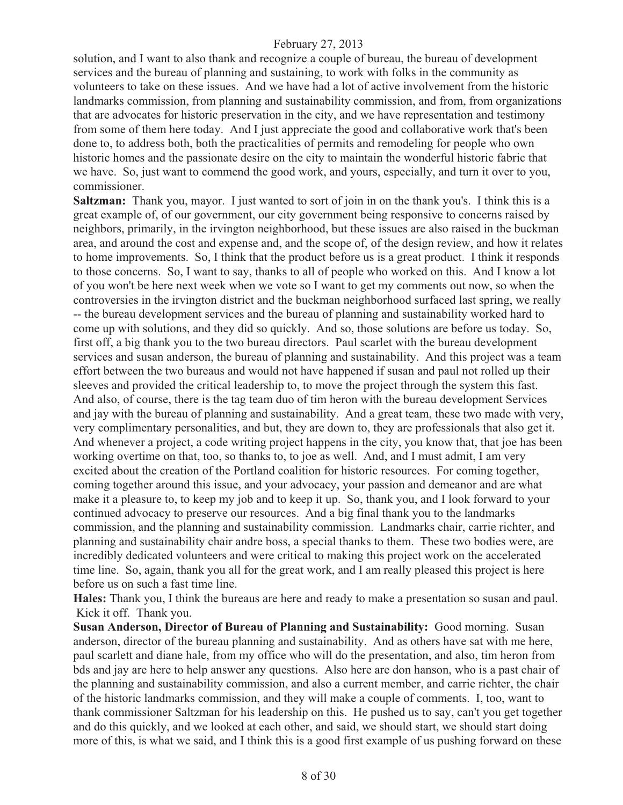solution, and I want to also thank and recognize a couple of bureau, the bureau of development services and the bureau of planning and sustaining, to work with folks in the community as volunteers to take on these issues. And we have had a lot of active involvement from the historic landmarks commission, from planning and sustainability commission, and from, from organizations that are advocates for historic preservation in the city, and we have representation and testimony from some of them here today. And I just appreciate the good and collaborative work that's been done to, to address both, both the practicalities of permits and remodeling for people who own historic homes and the passionate desire on the city to maintain the wonderful historic fabric that we have. So, just want to commend the good work, and yours, especially, and turn it over to you, commissioner.

**Saltzman:** Thank you, mayor. I just wanted to sort of join in on the thank you's. I think this is a great example of, of our government, our city government being responsive to concerns raised by neighbors, primarily, in the irvington neighborhood, but these issues are also raised in the buckman area, and around the cost and expense and, and the scope of, of the design review, and how it relates to home improvements. So, I think that the product before us is a great product. I think it responds to those concerns. So, I want to say, thanks to all of people who worked on this. And I know a lot of you won't be here next week when we vote so I want to get my comments out now, so when the controversies in the irvington district and the buckman neighborhood surfaced last spring, we really -- the bureau development services and the bureau of planning and sustainability worked hard to come up with solutions, and they did so quickly. And so, those solutions are before us today. So, first off, a big thank you to the two bureau directors. Paul scarlet with the bureau development services and susan anderson, the bureau of planning and sustainability. And this project was a team effort between the two bureaus and would not have happened if susan and paul not rolled up their sleeves and provided the critical leadership to, to move the project through the system this fast. And also, of course, there is the tag team duo of tim heron with the bureau development Services and jay with the bureau of planning and sustainability. And a great team, these two made with very, very complimentary personalities, and but, they are down to, they are professionals that also get it. And whenever a project, a code writing project happens in the city, you know that, that joe has been working overtime on that, too, so thanks to, to joe as well. And, and I must admit, I am very excited about the creation of the Portland coalition for historic resources. For coming together, coming together around this issue, and your advocacy, your passion and demeanor and are what make it a pleasure to, to keep my job and to keep it up. So, thank you, and I look forward to your continued advocacy to preserve our resources. And a big final thank you to the landmarks commission, and the planning and sustainability commission. Landmarks chair, carrie richter, and planning and sustainability chair andre boss, a special thanks to them. These two bodies were, are incredibly dedicated volunteers and were critical to making this project work on the accelerated time line. So, again, thank you all for the great work, and I am really pleased this project is here before us on such a fast time line.

**Hales:** Thank you, I think the bureaus are here and ready to make a presentation so susan and paul. Kick it off. Thank you.

**Susan Anderson, Director of Bureau of Planning and Sustainability:** Good morning. Susan anderson, director of the bureau planning and sustainability. And as others have sat with me here, paul scarlett and diane hale, from my office who will do the presentation, and also, tim heron from bds and jay are here to help answer any questions. Also here are don hanson, who is a past chair of the planning and sustainability commission, and also a current member, and carrie richter, the chair of the historic landmarks commission, and they will make a couple of comments. I, too, want to thank commissioner Saltzman for his leadership on this. He pushed us to say, can't you get together and do this quickly, and we looked at each other, and said, we should start, we should start doing more of this, is what we said, and I think this is a good first example of us pushing forward on these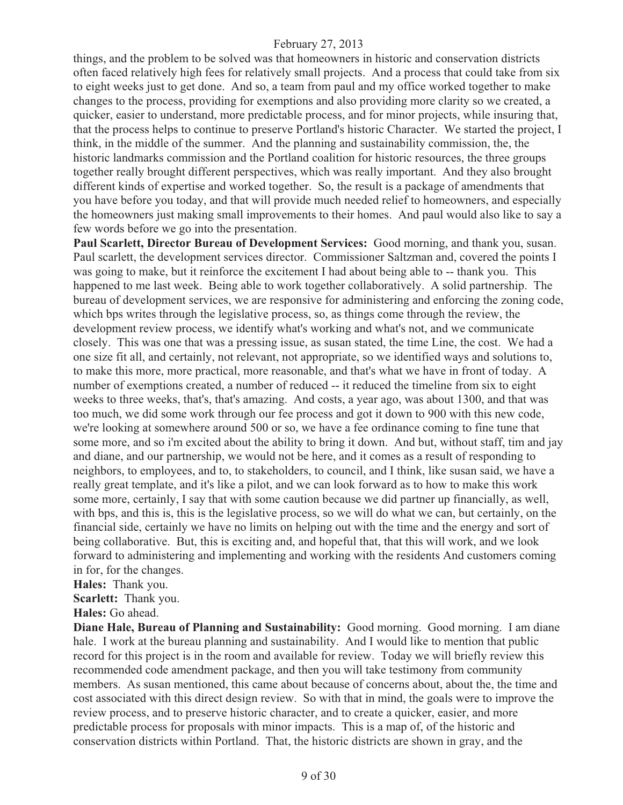things, and the problem to be solved was that homeowners in historic and conservation districts often faced relatively high fees for relatively small projects. And a process that could take from six to eight weeks just to get done. And so, a team from paul and my office worked together to make changes to the process, providing for exemptions and also providing more clarity so we created, a quicker, easier to understand, more predictable process, and for minor projects, while insuring that, that the process helps to continue to preserve Portland's historic Character. We started the project, I think, in the middle of the summer. And the planning and sustainability commission, the, the historic landmarks commission and the Portland coalition for historic resources, the three groups together really brought different perspectives, which was really important. And they also brought different kinds of expertise and worked together. So, the result is a package of amendments that you have before you today, and that will provide much needed relief to homeowners, and especially the homeowners just making small improvements to their homes. And paul would also like to say a few words before we go into the presentation.

**Paul Scarlett, Director Bureau of Development Services:** Good morning, and thank you, susan. Paul scarlett, the development services director. Commissioner Saltzman and, covered the points I was going to make, but it reinforce the excitement I had about being able to -- thank you. This happened to me last week. Being able to work together collaboratively. A solid partnership. The bureau of development services, we are responsive for administering and enforcing the zoning code, which bps writes through the legislative process, so, as things come through the review, the development review process, we identify what's working and what's not, and we communicate closely. This was one that was a pressing issue, as susan stated, the time Line, the cost. We had a one size fit all, and certainly, not relevant, not appropriate, so we identified ways and solutions to, to make this more, more practical, more reasonable, and that's what we have in front of today. A number of exemptions created, a number of reduced -- it reduced the timeline from six to eight weeks to three weeks, that's, that's amazing. And costs, a year ago, was about 1300, and that was too much, we did some work through our fee process and got it down to 900 with this new code, we're looking at somewhere around 500 or so, we have a fee ordinance coming to fine tune that some more, and so i'm excited about the ability to bring it down. And but, without staff, tim and jay and diane, and our partnership, we would not be here, and it comes as a result of responding to neighbors, to employees, and to, to stakeholders, to council, and I think, like susan said, we have a really great template, and it's like a pilot, and we can look forward as to how to make this work some more, certainly, I say that with some caution because we did partner up financially, as well, with bps, and this is, this is the legislative process, so we will do what we can, but certainly, on the financial side, certainly we have no limits on helping out with the time and the energy and sort of being collaborative. But, this is exciting and, and hopeful that, that this will work, and we look forward to administering and implementing and working with the residents And customers coming in for, for the changes.

**Hales:** Thank you.

**Scarlett:** Thank you.

**Hales:** Go ahead.

**Diane Hale, Bureau of Planning and Sustainability:** Good morning. Good morning. I am diane hale. I work at the bureau planning and sustainability. And I would like to mention that public record for this project is in the room and available for review. Today we will briefly review this recommended code amendment package, and then you will take testimony from community members. As susan mentioned, this came about because of concerns about, about the, the time and cost associated with this direct design review. So with that in mind, the goals were to improve the review process, and to preserve historic character, and to create a quicker, easier, and more predictable process for proposals with minor impacts. This is a map of, of the historic and conservation districts within Portland. That, the historic districts are shown in gray, and the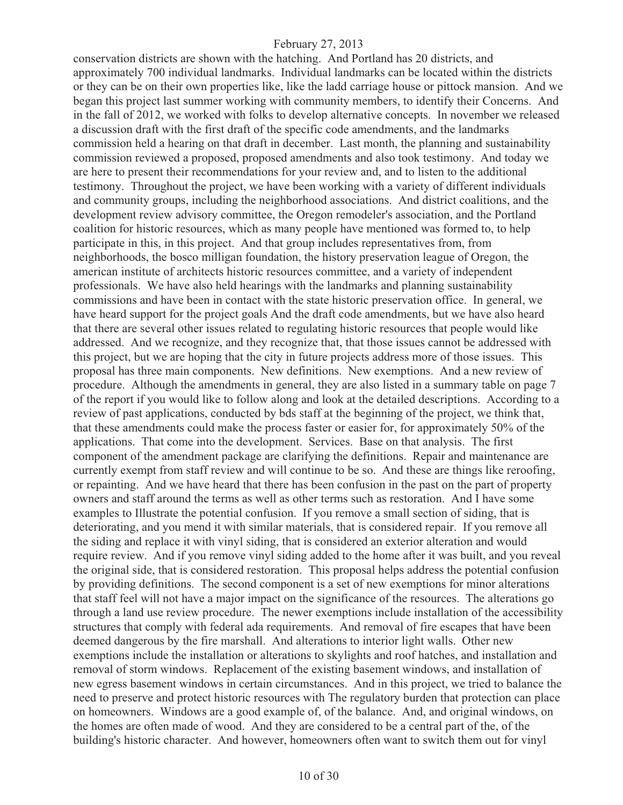conservation districts are shown with the hatching. And Portland has 20 districts, and approximately 700 individual landmarks. Individual landmarks can be located within the districts or they can be on their own properties like, like the ladd carriage house or pittock mansion. And we began this project last summer working with community members, to identify their Concerns. And in the fall of 2012, we worked with folks to develop alternative concepts. In november we released a discussion draft with the first draft of the specific code amendments, and the landmarks commission held a hearing on that draft in december. Last month, the planning and sustainability commission reviewed a proposed, proposed amendments and also took testimony. And today we are here to present their recommendations for your review and, and to listen to the additional testimony. Throughout the project, we have been working with a variety of different individuals and community groups, including the neighborhood associations. And district coalitions, and the development review advisory committee, the Oregon remodeler's association, and the Portland coalition for historic resources, which as many people have mentioned was formed to, to help participate in this, in this project. And that group includes representatives from, from neighborhoods, the bosco milligan foundation, the history preservation league of Oregon, the american institute of architects historic resources committee, and a variety of independent professionals. We have also held hearings with the landmarks and planning sustainability commissions and have been in contact with the state historic preservation office. In general, we have heard support for the project goals And the draft code amendments, but we have also heard that there are several other issues related to regulating historic resources that people would like addressed. And we recognize, and they recognize that, that those issues cannot be addressed with this project, but we are hoping that the city in future projects address more of those issues. This proposal has three main components. New definitions. New exemptions. And a new review of procedure. Although the amendments in general, they are also listed in a summary table on page 7 of the report if you would like to follow along and look at the detailed descriptions. According to a review of past applications, conducted by bds staff at the beginning of the project, we think that, that these amendments could make the process faster or easier for, for approximately 50% of the applications. That come into the development. Services. Base on that analysis. The first component of the amendment package are clarifying the definitions. Repair and maintenance are currently exempt from staff review and will continue to be so. And these are things like reroofing, or repainting. And we have heard that there has been confusion in the past on the part of property owners and staff around the terms as well as other terms such as restoration. And I have some examples to Illustrate the potential confusion. If you remove a small section of siding, that is deteriorating, and you mend it with similar materials, that is considered repair. If you remove all the siding and replace it with vinyl siding, that is considered an exterior alteration and would require review. And if you remove vinyl siding added to the home after it was built, and you reveal the original side, that is considered restoration. This proposal helps address the potential confusion by providing definitions. The second component is a set of new exemptions for minor alterations that staff feel will not have a major impact on the significance of the resources. The alterations go through a land use review procedure. The newer exemptions include installation of the accessibility structures that comply with federal ada requirements. And removal of fire escapes that have been deemed dangerous by the fire marshall. And alterations to interior light walls. Other new exemptions include the installation or alterations to skylights and roof hatches, and installation and removal of storm windows. Replacement of the existing basement windows, and installation of new egress basement windows in certain circumstances. And in this project, we tried to balance the need to preserve and protect historic resources with The regulatory burden that protection can place on homeowners. Windows are a good example of, of the balance. And, and original windows, on the homes are often made of wood. And they are considered to be a central part of the, of the building's historic character. And however, homeowners often want to switch them out for vinyl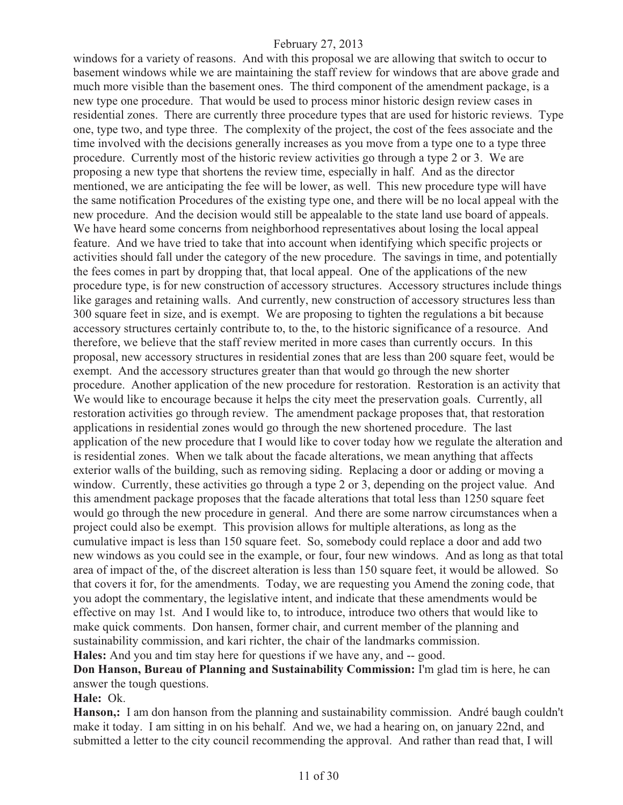windows for a variety of reasons. And with this proposal we are allowing that switch to occur to basement windows while we are maintaining the staff review for windows that are above grade and much more visible than the basement ones. The third component of the amendment package, is a new type one procedure. That would be used to process minor historic design review cases in residential zones. There are currently three procedure types that are used for historic reviews. Type one, type two, and type three. The complexity of the project, the cost of the fees associate and the time involved with the decisions generally increases as you move from a type one to a type three procedure. Currently most of the historic review activities go through a type 2 or 3. We are proposing a new type that shortens the review time, especially in half. And as the director mentioned, we are anticipating the fee will be lower, as well. This new procedure type will have the same notification Procedures of the existing type one, and there will be no local appeal with the new procedure. And the decision would still be appealable to the state land use board of appeals. We have heard some concerns from neighborhood representatives about losing the local appeal feature. And we have tried to take that into account when identifying which specific projects or activities should fall under the category of the new procedure. The savings in time, and potentially the fees comes in part by dropping that, that local appeal. One of the applications of the new procedure type, is for new construction of accessory structures. Accessory structures include things like garages and retaining walls. And currently, new construction of accessory structures less than 300 square feet in size, and is exempt. We are proposing to tighten the regulations a bit because accessory structures certainly contribute to, to the, to the historic significance of a resource. And therefore, we believe that the staff review merited in more cases than currently occurs. In this proposal, new accessory structures in residential zones that are less than 200 square feet, would be exempt. And the accessory structures greater than that would go through the new shorter procedure. Another application of the new procedure for restoration. Restoration is an activity that We would like to encourage because it helps the city meet the preservation goals. Currently, all restoration activities go through review. The amendment package proposes that, that restoration applications in residential zones would go through the new shortened procedure. The last application of the new procedure that I would like to cover today how we regulate the alteration and is residential zones. When we talk about the facade alterations, we mean anything that affects exterior walls of the building, such as removing siding. Replacing a door or adding or moving a window. Currently, these activities go through a type 2 or 3, depending on the project value. And this amendment package proposes that the facade alterations that total less than 1250 square feet would go through the new procedure in general. And there are some narrow circumstances when a project could also be exempt. This provision allows for multiple alterations, as long as the cumulative impact is less than 150 square feet. So, somebody could replace a door and add two new windows as you could see in the example, or four, four new windows. And as long as that total area of impact of the, of the discreet alteration is less than 150 square feet, it would be allowed. So that covers it for, for the amendments. Today, we are requesting you Amend the zoning code, that you adopt the commentary, the legislative intent, and indicate that these amendments would be effective on may 1st. And I would like to, to introduce, introduce two others that would like to make quick comments. Don hansen, former chair, and current member of the planning and sustainability commission, and kari richter, the chair of the landmarks commission.

**Hales:** And you and tim stay here for questions if we have any, and -- good.

**Don Hanson, Bureau of Planning and Sustainability Commission:** I'm glad tim is here, he can answer the tough questions.

**Hale:** Ok.

**Hanson,:** I am don hanson from the planning and sustainability commission. André baugh couldn't make it today. I am sitting in on his behalf. And we, we had a hearing on, on january 22nd, and submitted a letter to the city council recommending the approval. And rather than read that, I will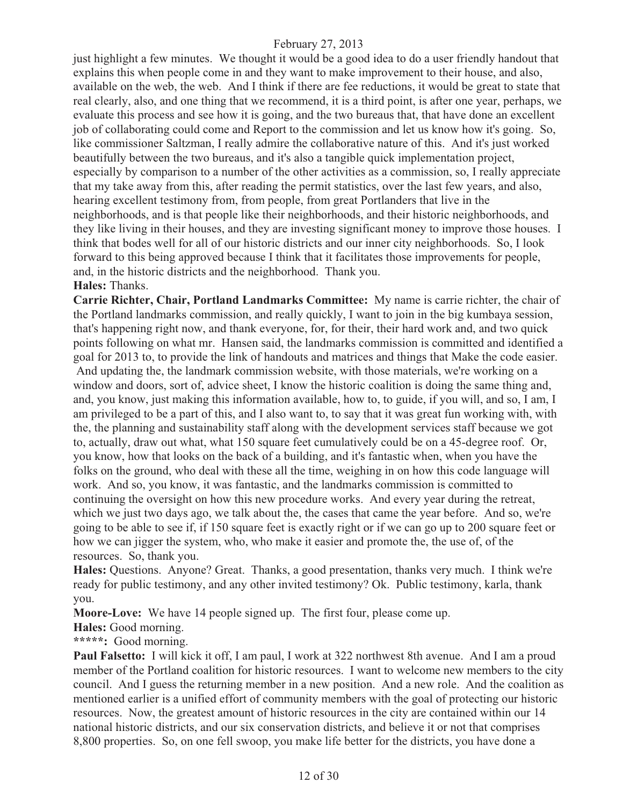just highlight a few minutes. We thought it would be a good idea to do a user friendly handout that explains this when people come in and they want to make improvement to their house, and also, available on the web, the web. And I think if there are fee reductions, it would be great to state that real clearly, also, and one thing that we recommend, it is a third point, is after one year, perhaps, we evaluate this process and see how it is going, and the two bureaus that, that have done an excellent job of collaborating could come and Report to the commission and let us know how it's going. So, like commissioner Saltzman, I really admire the collaborative nature of this. And it's just worked beautifully between the two bureaus, and it's also a tangible quick implementation project, especially by comparison to a number of the other activities as a commission, so, I really appreciate that my take away from this, after reading the permit statistics, over the last few years, and also, hearing excellent testimony from, from people, from great Portlanders that live in the neighborhoods, and is that people like their neighborhoods, and their historic neighborhoods, and they like living in their houses, and they are investing significant money to improve those houses. I think that bodes well for all of our historic districts and our inner city neighborhoods. So, I look forward to this being approved because I think that it facilitates those improvements for people, and, in the historic districts and the neighborhood. Thank you.

#### **Hales:** Thanks.

**Carrie Richter, Chair, Portland Landmarks Committee:** My name is carrie richter, the chair of the Portland landmarks commission, and really quickly, I want to join in the big kumbaya session, that's happening right now, and thank everyone, for, for their, their hard work and, and two quick points following on what mr. Hansen said, the landmarks commission is committed and identified a goal for 2013 to, to provide the link of handouts and matrices and things that Make the code easier. And updating the, the landmark commission website, with those materials, we're working on a window and doors, sort of, advice sheet, I know the historic coalition is doing the same thing and, and, you know, just making this information available, how to, to guide, if you will, and so, I am, I am privileged to be a part of this, and I also want to, to say that it was great fun working with, with the, the planning and sustainability staff along with the development services staff because we got to, actually, draw out what, what 150 square feet cumulatively could be on a 45-degree roof. Or, you know, how that looks on the back of a building, and it's fantastic when, when you have the folks on the ground, who deal with these all the time, weighing in on how this code language will work. And so, you know, it was fantastic, and the landmarks commission is committed to continuing the oversight on how this new procedure works. And every year during the retreat, which we just two days ago, we talk about the, the cases that came the year before. And so, we're going to be able to see if, if 150 square feet is exactly right or if we can go up to 200 square feet or how we can jigger the system, who, who make it easier and promote the, the use of, of the resources. So, thank you.

**Hales:** Questions. Anyone? Great. Thanks, a good presentation, thanks very much. I think we're ready for public testimony, and any other invited testimony? Ok. Public testimony, karla, thank you.

**Moore-Love:** We have 14 people signed up. The first four, please come up.

**Hales:** Good morning.

**\*\*\*\*\*:** Good morning.

**Paul Falsetto:** I will kick it off, I am paul, I work at 322 northwest 8th avenue. And I am a proud member of the Portland coalition for historic resources. I want to welcome new members to the city council. And I guess the returning member in a new position. And a new role. And the coalition as mentioned earlier is a unified effort of community members with the goal of protecting our historic resources. Now, the greatest amount of historic resources in the city are contained within our 14 national historic districts, and our six conservation districts, and believe it or not that comprises 8,800 properties. So, on one fell swoop, you make life better for the districts, you have done a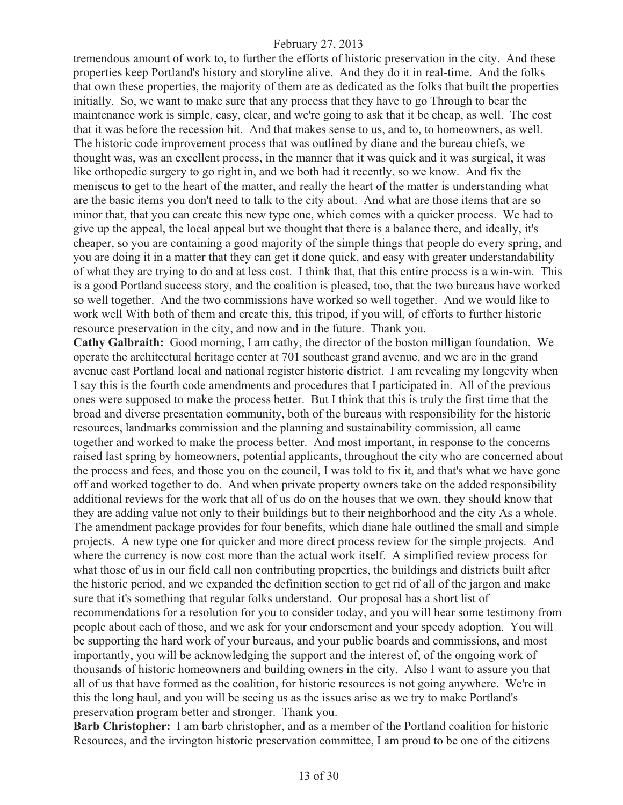tremendous amount of work to, to further the efforts of historic preservation in the city. And these properties keep Portland's history and storyline alive. And they do it in real-time. And the folks that own these properties, the majority of them are as dedicated as the folks that built the properties initially. So, we want to make sure that any process that they have to go Through to bear the maintenance work is simple, easy, clear, and we're going to ask that it be cheap, as well. The cost that it was before the recession hit. And that makes sense to us, and to, to homeowners, as well. The historic code improvement process that was outlined by diane and the bureau chiefs, we thought was, was an excellent process, in the manner that it was quick and it was surgical, it was like orthopedic surgery to go right in, and we both had it recently, so we know. And fix the meniscus to get to the heart of the matter, and really the heart of the matter is understanding what are the basic items you don't need to talk to the city about. And what are those items that are so minor that, that you can create this new type one, which comes with a quicker process. We had to give up the appeal, the local appeal but we thought that there is a balance there, and ideally, it's cheaper, so you are containing a good majority of the simple things that people do every spring, and you are doing it in a matter that they can get it done quick, and easy with greater understandability of what they are trying to do and at less cost. I think that, that this entire process is a win-win. This is a good Portland success story, and the coalition is pleased, too, that the two bureaus have worked so well together. And the two commissions have worked so well together. And we would like to work well With both of them and create this, this tripod, if you will, of efforts to further historic resource preservation in the city, and now and in the future. Thank you.

**Cathy Galbraith:** Good morning, I am cathy, the director of the boston milligan foundation. We operate the architectural heritage center at 701 southeast grand avenue, and we are in the grand avenue east Portland local and national register historic district. I am revealing my longevity when I say this is the fourth code amendments and procedures that I participated in. All of the previous ones were supposed to make the process better. But I think that this is truly the first time that the broad and diverse presentation community, both of the bureaus with responsibility for the historic resources, landmarks commission and the planning and sustainability commission, all came together and worked to make the process better. And most important, in response to the concerns raised last spring by homeowners, potential applicants, throughout the city who are concerned about the process and fees, and those you on the council, I was told to fix it, and that's what we have gone off and worked together to do. And when private property owners take on the added responsibility additional reviews for the work that all of us do on the houses that we own, they should know that they are adding value not only to their buildings but to their neighborhood and the city As a whole. The amendment package provides for four benefits, which diane hale outlined the small and simple projects. A new type one for quicker and more direct process review for the simple projects. And where the currency is now cost more than the actual work itself. A simplified review process for what those of us in our field call non contributing properties, the buildings and districts built after the historic period, and we expanded the definition section to get rid of all of the jargon and make sure that it's something that regular folks understand. Our proposal has a short list of recommendations for a resolution for you to consider today, and you will hear some testimony from people about each of those, and we ask for your endorsement and your speedy adoption. You will be supporting the hard work of your bureaus, and your public boards and commissions, and most importantly, you will be acknowledging the support and the interest of, of the ongoing work of thousands of historic homeowners and building owners in the city. Also I want to assure you that all of us that have formed as the coalition, for historic resources is not going anywhere. We're in this the long haul, and you will be seeing us as the issues arise as we try to make Portland's preservation program better and stronger. Thank you.

**Barb Christopher:** I am barb christopher, and as a member of the Portland coalition for historic Resources, and the irvington historic preservation committee, I am proud to be one of the citizens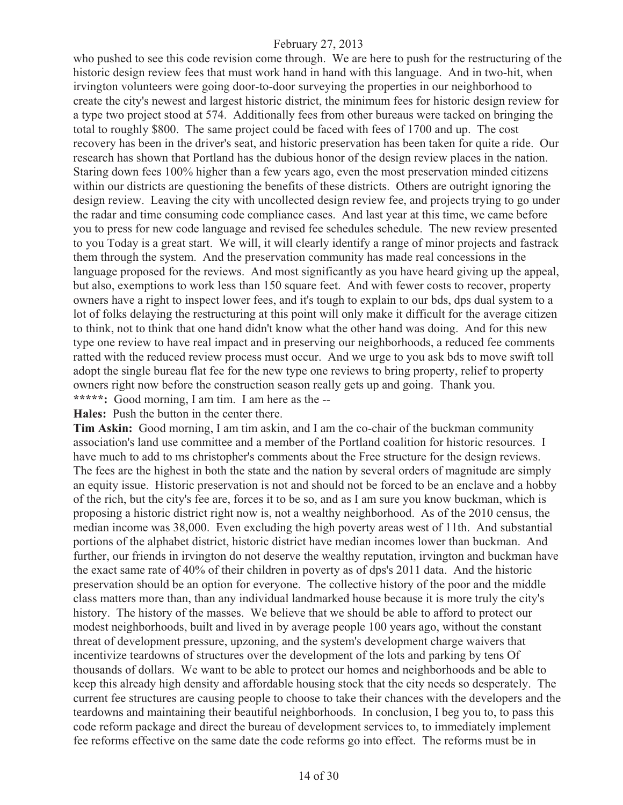who pushed to see this code revision come through. We are here to push for the restructuring of the historic design review fees that must work hand in hand with this language. And in two-hit, when irvington volunteers were going door-to-door surveying the properties in our neighborhood to create the city's newest and largest historic district, the minimum fees for historic design review for a type two project stood at 574. Additionally fees from other bureaus were tacked on bringing the total to roughly \$800. The same project could be faced with fees of 1700 and up. The cost recovery has been in the driver's seat, and historic preservation has been taken for quite a ride. Our research has shown that Portland has the dubious honor of the design review places in the nation. Staring down fees 100% higher than a few years ago, even the most preservation minded citizens within our districts are questioning the benefits of these districts. Others are outright ignoring the design review. Leaving the city with uncollected design review fee, and projects trying to go under the radar and time consuming code compliance cases. And last year at this time, we came before you to press for new code language and revised fee schedules schedule. The new review presented to you Today is a great start. We will, it will clearly identify a range of minor projects and fastrack them through the system. And the preservation community has made real concessions in the language proposed for the reviews. And most significantly as you have heard giving up the appeal, but also, exemptions to work less than 150 square feet. And with fewer costs to recover, property owners have a right to inspect lower fees, and it's tough to explain to our bds, dps dual system to a lot of folks delaying the restructuring at this point will only make it difficult for the average citizen to think, not to think that one hand didn't know what the other hand was doing. And for this new type one review to have real impact and in preserving our neighborhoods, a reduced fee comments ratted with the reduced review process must occur. And we urge to you ask bds to move swift toll adopt the single bureau flat fee for the new type one reviews to bring property, relief to property owners right now before the construction season really gets up and going. Thank you. **\*\*\*\*\*:** Good morning, I am tim. I am here as the --

**Hales:** Push the button in the center there.

**Tim Askin:** Good morning, I am tim askin, and I am the co-chair of the buckman community association's land use committee and a member of the Portland coalition for historic resources. I have much to add to ms christopher's comments about the Free structure for the design reviews. The fees are the highest in both the state and the nation by several orders of magnitude are simply an equity issue. Historic preservation is not and should not be forced to be an enclave and a hobby of the rich, but the city's fee are, forces it to be so, and as I am sure you know buckman, which is proposing a historic district right now is, not a wealthy neighborhood. As of the 2010 census, the median income was 38,000. Even excluding the high poverty areas west of 11th. And substantial portions of the alphabet district, historic district have median incomes lower than buckman. And further, our friends in irvington do not deserve the wealthy reputation, irvington and buckman have the exact same rate of 40% of their children in poverty as of dps's 2011 data. And the historic preservation should be an option for everyone. The collective history of the poor and the middle class matters more than, than any individual landmarked house because it is more truly the city's history. The history of the masses. We believe that we should be able to afford to protect our modest neighborhoods, built and lived in by average people 100 years ago, without the constant threat of development pressure, upzoning, and the system's development charge waivers that incentivize teardowns of structures over the development of the lots and parking by tens Of thousands of dollars. We want to be able to protect our homes and neighborhoods and be able to keep this already high density and affordable housing stock that the city needs so desperately. The current fee structures are causing people to choose to take their chances with the developers and the teardowns and maintaining their beautiful neighborhoods. In conclusion, I beg you to, to pass this code reform package and direct the bureau of development services to, to immediately implement fee reforms effective on the same date the code reforms go into effect. The reforms must be in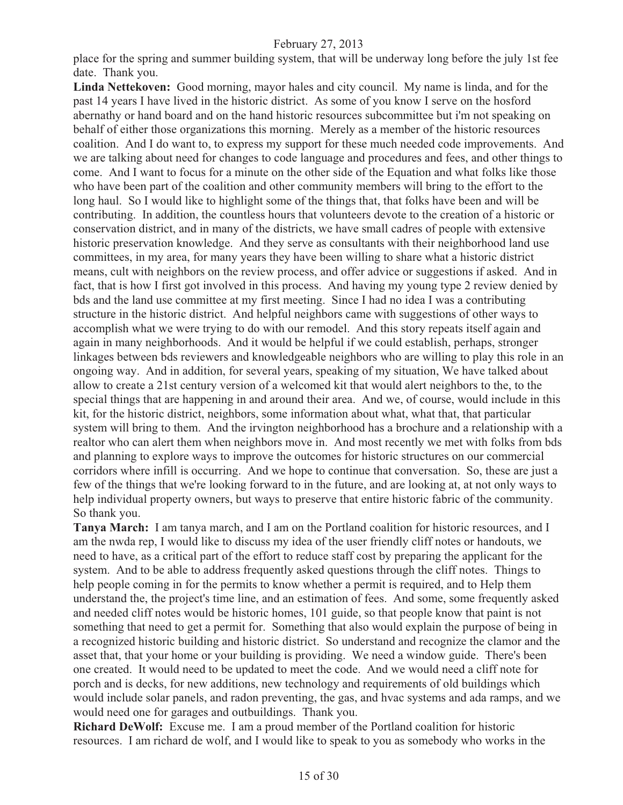place for the spring and summer building system, that will be underway long before the july 1st fee date. Thank you.

**Linda Nettekoven:** Good morning, mayor hales and city council. My name is linda, and for the past 14 years I have lived in the historic district. As some of you know I serve on the hosford abernathy or hand board and on the hand historic resources subcommittee but i'm not speaking on behalf of either those organizations this morning. Merely as a member of the historic resources coalition. And I do want to, to express my support for these much needed code improvements. And we are talking about need for changes to code language and procedures and fees, and other things to come. And I want to focus for a minute on the other side of the Equation and what folks like those who have been part of the coalition and other community members will bring to the effort to the long haul. So I would like to highlight some of the things that, that folks have been and will be contributing. In addition, the countless hours that volunteers devote to the creation of a historic or conservation district, and in many of the districts, we have small cadres of people with extensive historic preservation knowledge. And they serve as consultants with their neighborhood land use committees, in my area, for many years they have been willing to share what a historic district means, cult with neighbors on the review process, and offer advice or suggestions if asked. And in fact, that is how I first got involved in this process. And having my young type 2 review denied by bds and the land use committee at my first meeting. Since I had no idea I was a contributing structure in the historic district. And helpful neighbors came with suggestions of other ways to accomplish what we were trying to do with our remodel. And this story repeats itself again and again in many neighborhoods. And it would be helpful if we could establish, perhaps, stronger linkages between bds reviewers and knowledgeable neighbors who are willing to play this role in an ongoing way. And in addition, for several years, speaking of my situation, We have talked about allow to create a 21st century version of a welcomed kit that would alert neighbors to the, to the special things that are happening in and around their area. And we, of course, would include in this kit, for the historic district, neighbors, some information about what, what that, that particular system will bring to them. And the irvington neighborhood has a brochure and a relationship with a realtor who can alert them when neighbors move in. And most recently we met with folks from bds and planning to explore ways to improve the outcomes for historic structures on our commercial corridors where infill is occurring. And we hope to continue that conversation. So, these are just a few of the things that we're looking forward to in the future, and are looking at, at not only ways to help individual property owners, but ways to preserve that entire historic fabric of the community. So thank you.

**Tanya March:** I am tanya march, and I am on the Portland coalition for historic resources, and I am the nwda rep, I would like to discuss my idea of the user friendly cliff notes or handouts, we need to have, as a critical part of the effort to reduce staff cost by preparing the applicant for the system. And to be able to address frequently asked questions through the cliff notes. Things to help people coming in for the permits to know whether a permit is required, and to Help them understand the, the project's time line, and an estimation of fees. And some, some frequently asked and needed cliff notes would be historic homes, 101 guide, so that people know that paint is not something that need to get a permit for. Something that also would explain the purpose of being in a recognized historic building and historic district. So understand and recognize the clamor and the asset that, that your home or your building is providing. We need a window guide. There's been one created. It would need to be updated to meet the code. And we would need a cliff note for porch and is decks, for new additions, new technology and requirements of old buildings which would include solar panels, and radon preventing, the gas, and hvac systems and ada ramps, and we would need one for garages and outbuildings. Thank you.

**Richard DeWolf:** Excuse me. I am a proud member of the Portland coalition for historic resources. I am richard de wolf, and I would like to speak to you as somebody who works in the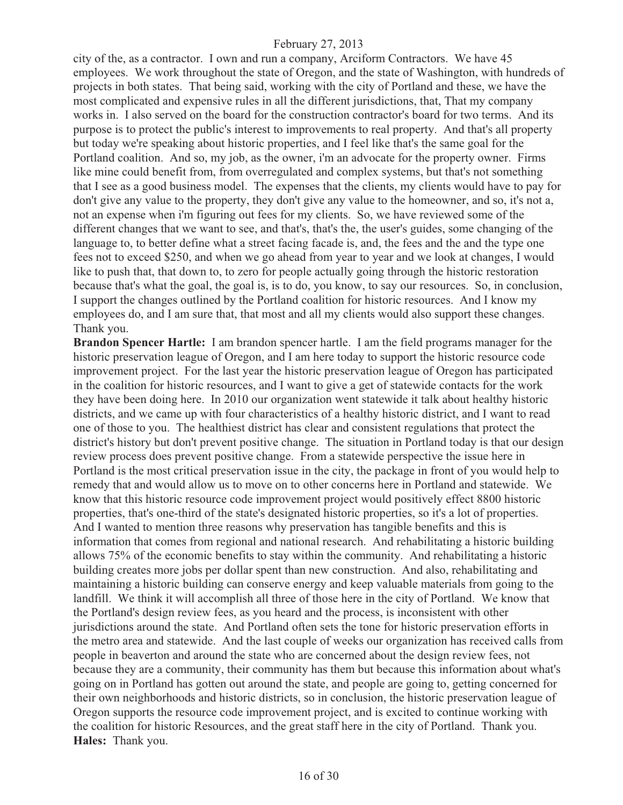city of the, as a contractor. I own and run a company, Arciform Contractors. We have 45 employees. We work throughout the state of Oregon, and the state of Washington, with hundreds of projects in both states. That being said, working with the city of Portland and these, we have the most complicated and expensive rules in all the different jurisdictions, that, That my company works in. I also served on the board for the construction contractor's board for two terms. And its purpose is to protect the public's interest to improvements to real property. And that's all property but today we're speaking about historic properties, and I feel like that's the same goal for the Portland coalition. And so, my job, as the owner, i'm an advocate for the property owner. Firms like mine could benefit from, from overregulated and complex systems, but that's not something that I see as a good business model. The expenses that the clients, my clients would have to pay for don't give any value to the property, they don't give any value to the homeowner, and so, it's not a, not an expense when i'm figuring out fees for my clients. So, we have reviewed some of the different changes that we want to see, and that's, that's the, the user's guides, some changing of the language to, to better define what a street facing facade is, and, the fees and the and the type one fees not to exceed \$250, and when we go ahead from year to year and we look at changes, I would like to push that, that down to, to zero for people actually going through the historic restoration because that's what the goal, the goal is, is to do, you know, to say our resources. So, in conclusion, I support the changes outlined by the Portland coalition for historic resources. And I know my employees do, and I am sure that, that most and all my clients would also support these changes. Thank you.

**Brandon Spencer Hartle:** I am brandon spencer hartle. I am the field programs manager for the historic preservation league of Oregon, and I am here today to support the historic resource code improvement project. For the last year the historic preservation league of Oregon has participated in the coalition for historic resources, and I want to give a get of statewide contacts for the work they have been doing here. In 2010 our organization went statewide it talk about healthy historic districts, and we came up with four characteristics of a healthy historic district, and I want to read one of those to you. The healthiest district has clear and consistent regulations that protect the district's history but don't prevent positive change. The situation in Portland today is that our design review process does prevent positive change. From a statewide perspective the issue here in Portland is the most critical preservation issue in the city, the package in front of you would help to remedy that and would allow us to move on to other concerns here in Portland and statewide. We know that this historic resource code improvement project would positively effect 8800 historic properties, that's one-third of the state's designated historic properties, so it's a lot of properties. And I wanted to mention three reasons why preservation has tangible benefits and this is information that comes from regional and national research. And rehabilitating a historic building allows 75% of the economic benefits to stay within the community. And rehabilitating a historic building creates more jobs per dollar spent than new construction. And also, rehabilitating and maintaining a historic building can conserve energy and keep valuable materials from going to the landfill. We think it will accomplish all three of those here in the city of Portland. We know that the Portland's design review fees, as you heard and the process, is inconsistent with other jurisdictions around the state. And Portland often sets the tone for historic preservation efforts in the metro area and statewide. And the last couple of weeks our organization has received calls from people in beaverton and around the state who are concerned about the design review fees, not because they are a community, their community has them but because this information about what's going on in Portland has gotten out around the state, and people are going to, getting concerned for their own neighborhoods and historic districts, so in conclusion, the historic preservation league of Oregon supports the resource code improvement project, and is excited to continue working with the coalition for historic Resources, and the great staff here in the city of Portland. Thank you. **Hales:** Thank you.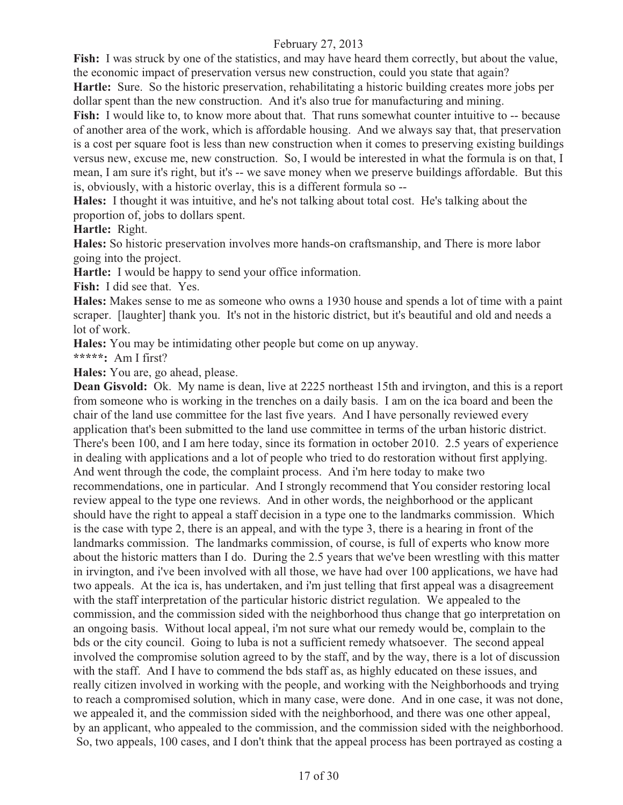Fish: I was struck by one of the statistics, and may have heard them correctly, but about the value, the economic impact of preservation versus new construction, could you state that again?

**Hartle:** Sure. So the historic preservation, rehabilitating a historic building creates more jobs per dollar spent than the new construction. And it's also true for manufacturing and mining.

**Fish:** I would like to, to know more about that. That runs somewhat counter intuitive to -- because of another area of the work, which is affordable housing. And we always say that, that preservation is a cost per square foot is less than new construction when it comes to preserving existing buildings versus new, excuse me, new construction. So, I would be interested in what the formula is on that, I mean, I am sure it's right, but it's -- we save money when we preserve buildings affordable. But this is, obviously, with a historic overlay, this is a different formula so --

**Hales:** I thought it was intuitive, and he's not talking about total cost. He's talking about the proportion of, jobs to dollars spent.

**Hartle:** Right.

**Hales:** So historic preservation involves more hands-on craftsmanship, and There is more labor going into the project.

**Hartle:** I would be happy to send your office information.

**Fish:** I did see that. Yes.

**Hales:** Makes sense to me as someone who owns a 1930 house and spends a lot of time with a paint scraper. [laughter] thank you. It's not in the historic district, but it's beautiful and old and needs a lot of work.

**Hales:** You may be intimidating other people but come on up anyway.

**\*\*\*\*\*:** Am I first?

**Hales:** You are, go ahead, please.

**Dean Gisvold:** Ok. My name is dean, live at 2225 northeast 15th and irvington, and this is a report from someone who is working in the trenches on a daily basis. I am on the ica board and been the chair of the land use committee for the last five years. And I have personally reviewed every application that's been submitted to the land use committee in terms of the urban historic district. There's been 100, and I am here today, since its formation in october 2010. 2.5 years of experience in dealing with applications and a lot of people who tried to do restoration without first applying. And went through the code, the complaint process. And i'm here today to make two recommendations, one in particular. And I strongly recommend that You consider restoring local review appeal to the type one reviews. And in other words, the neighborhood or the applicant should have the right to appeal a staff decision in a type one to the landmarks commission. Which is the case with type 2, there is an appeal, and with the type 3, there is a hearing in front of the landmarks commission. The landmarks commission, of course, is full of experts who know more about the historic matters than I do. During the 2.5 years that we've been wrestling with this matter in irvington, and i've been involved with all those, we have had over 100 applications, we have had two appeals. At the ica is, has undertaken, and i'm just telling that first appeal was a disagreement with the staff interpretation of the particular historic district regulation. We appealed to the commission, and the commission sided with the neighborhood thus change that go interpretation on an ongoing basis. Without local appeal, i'm not sure what our remedy would be, complain to the bds or the city council. Going to luba is not a sufficient remedy whatsoever. The second appeal involved the compromise solution agreed to by the staff, and by the way, there is a lot of discussion with the staff. And I have to commend the bds staff as, as highly educated on these issues, and really citizen involved in working with the people, and working with the Neighborhoods and trying to reach a compromised solution, which in many case, were done. And in one case, it was not done, we appealed it, and the commission sided with the neighborhood, and there was one other appeal, by an applicant, who appealed to the commission, and the commission sided with the neighborhood. So, two appeals, 100 cases, and I don't think that the appeal process has been portrayed as costing a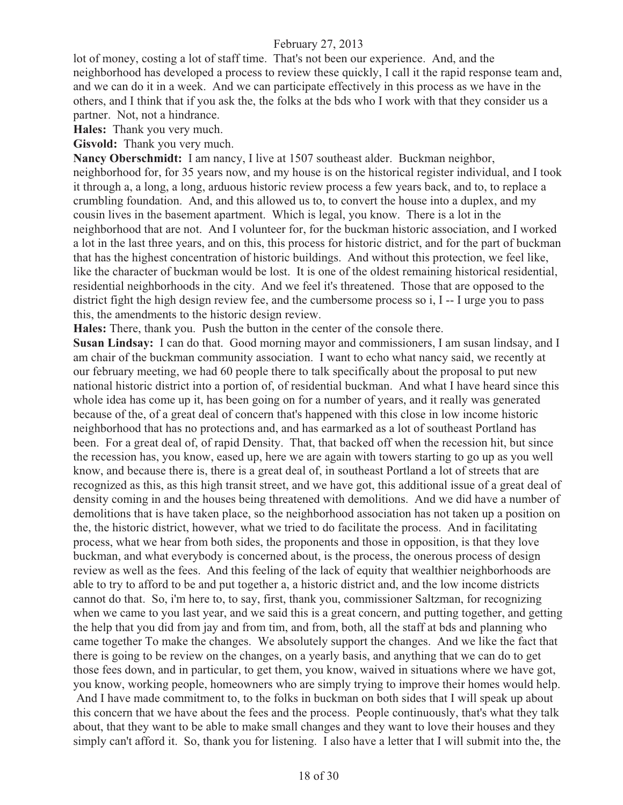lot of money, costing a lot of staff time. That's not been our experience. And, and the neighborhood has developed a process to review these quickly, I call it the rapid response team and, and we can do it in a week. And we can participate effectively in this process as we have in the others, and I think that if you ask the, the folks at the bds who I work with that they consider us a partner. Not, not a hindrance.

**Hales:** Thank you very much.

**Gisvold:** Thank you very much.

**Nancy Oberschmidt:** I am nancy, I live at 1507 southeast alder. Buckman neighbor, neighborhood for, for 35 years now, and my house is on the historical register individual, and I took it through a, a long, a long, arduous historic review process a few years back, and to, to replace a crumbling foundation. And, and this allowed us to, to convert the house into a duplex, and my cousin lives in the basement apartment. Which is legal, you know. There is a lot in the neighborhood that are not. And I volunteer for, for the buckman historic association, and I worked a lot in the last three years, and on this, this process for historic district, and for the part of buckman that has the highest concentration of historic buildings. And without this protection, we feel like, like the character of buckman would be lost. It is one of the oldest remaining historical residential, residential neighborhoods in the city. And we feel it's threatened. Those that are opposed to the district fight the high design review fee, and the cumbersome process so i, I -- I urge you to pass this, the amendments to the historic design review.

**Hales:** There, thank you. Push the button in the center of the console there.

**Susan Lindsay:** I can do that. Good morning mayor and commissioners, I am susan lindsay, and I am chair of the buckman community association. I want to echo what nancy said, we recently at our february meeting, we had 60 people there to talk specifically about the proposal to put new national historic district into a portion of, of residential buckman. And what I have heard since this whole idea has come up it, has been going on for a number of years, and it really was generated because of the, of a great deal of concern that's happened with this close in low income historic neighborhood that has no protections and, and has earmarked as a lot of southeast Portland has been. For a great deal of, of rapid Density. That, that backed off when the recession hit, but since the recession has, you know, eased up, here we are again with towers starting to go up as you well know, and because there is, there is a great deal of, in southeast Portland a lot of streets that are recognized as this, as this high transit street, and we have got, this additional issue of a great deal of density coming in and the houses being threatened with demolitions. And we did have a number of demolitions that is have taken place, so the neighborhood association has not taken up a position on the, the historic district, however, what we tried to do facilitate the process. And in facilitating process, what we hear from both sides, the proponents and those in opposition, is that they love buckman, and what everybody is concerned about, is the process, the onerous process of design review as well as the fees. And this feeling of the lack of equity that wealthier neighborhoods are able to try to afford to be and put together a, a historic district and, and the low income districts cannot do that. So, i'm here to, to say, first, thank you, commissioner Saltzman, for recognizing when we came to you last year, and we said this is a great concern, and putting together, and getting the help that you did from jay and from tim, and from, both, all the staff at bds and planning who came together To make the changes. We absolutely support the changes. And we like the fact that there is going to be review on the changes, on a yearly basis, and anything that we can do to get those fees down, and in particular, to get them, you know, waived in situations where we have got, you know, working people, homeowners who are simply trying to improve their homes would help. And I have made commitment to, to the folks in buckman on both sides that I will speak up about this concern that we have about the fees and the process. People continuously, that's what they talk about, that they want to be able to make small changes and they want to love their houses and they simply can't afford it. So, thank you for listening. I also have a letter that I will submit into the, the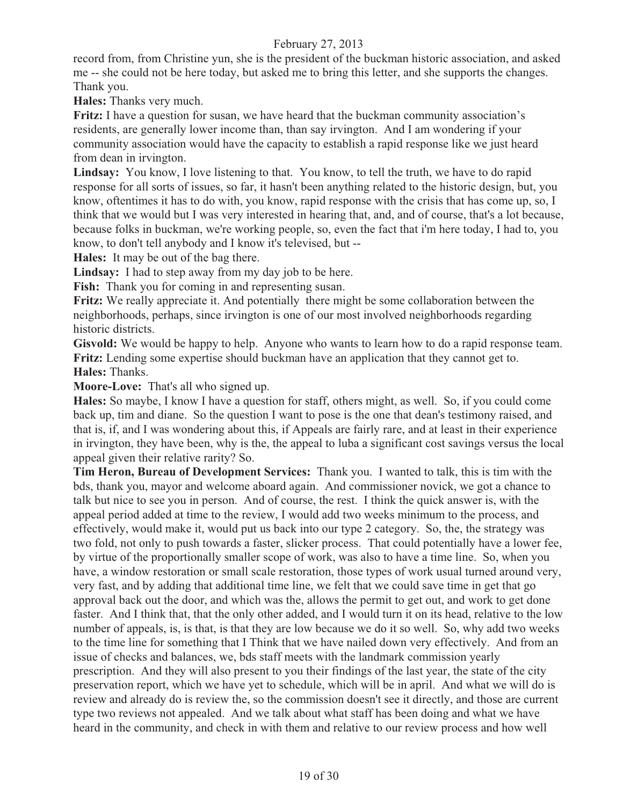record from, from Christine yun, she is the president of the buckman historic association, and asked me -- she could not be here today, but asked me to bring this letter, and she supports the changes. Thank you.

**Hales:** Thanks very much.

**Fritz:** I have a question for susan, we have heard that the buckman community association's residents, are generally lower income than, than say irvington. And I am wondering if your community association would have the capacity to establish a rapid response like we just heard from dean in irvington.

**Lindsay:** You know, I love listening to that. You know, to tell the truth, we have to do rapid response for all sorts of issues, so far, it hasn't been anything related to the historic design, but, you know, oftentimes it has to do with, you know, rapid response with the crisis that has come up, so, I think that we would but I was very interested in hearing that, and, and of course, that's a lot because, because folks in buckman, we're working people, so, even the fact that i'm here today, I had to, you know, to don't tell anybody and I know it's televised, but --

**Hales:** It may be out of the bag there.

**Lindsay:** I had to step away from my day job to be here.

Fish: Thank you for coming in and representing susan.

**Fritz:** We really appreciate it. And potentially there might be some collaboration between the neighborhoods, perhaps, since irvington is one of our most involved neighborhoods regarding historic districts.

**Gisvold:** We would be happy to help. Anyone who wants to learn how to do a rapid response team. **Fritz:** Lending some expertise should buckman have an application that they cannot get to. **Hales:** Thanks.

**Moore-Love:** That's all who signed up.

**Hales:** So maybe, I know I have a question for staff, others might, as well. So, if you could come back up, tim and diane. So the question I want to pose is the one that dean's testimony raised, and that is, if, and I was wondering about this, if Appeals are fairly rare, and at least in their experience in irvington, they have been, why is the, the appeal to luba a significant cost savings versus the local appeal given their relative rarity? So.

**Tim Heron, Bureau of Development Services:** Thank you. I wanted to talk, this is tim with the bds, thank you, mayor and welcome aboard again. And commissioner novick, we got a chance to talk but nice to see you in person. And of course, the rest. I think the quick answer is, with the appeal period added at time to the review, I would add two weeks minimum to the process, and effectively, would make it, would put us back into our type 2 category. So, the, the strategy was two fold, not only to push towards a faster, slicker process. That could potentially have a lower fee, by virtue of the proportionally smaller scope of work, was also to have a time line. So, when you have, a window restoration or small scale restoration, those types of work usual turned around very, very fast, and by adding that additional time line, we felt that we could save time in get that go approval back out the door, and which was the, allows the permit to get out, and work to get done faster. And I think that, that the only other added, and I would turn it on its head, relative to the low number of appeals, is, is that, is that they are low because we do it so well. So, why add two weeks to the time line for something that I Think that we have nailed down very effectively. And from an issue of checks and balances, we, bds staff meets with the landmark commission yearly prescription. And they will also present to you their findings of the last year, the state of the city preservation report, which we have yet to schedule, which will be in april. And what we will do is review and already do is review the, so the commission doesn't see it directly, and those are current type two reviews not appealed. And we talk about what staff has been doing and what we have heard in the community, and check in with them and relative to our review process and how well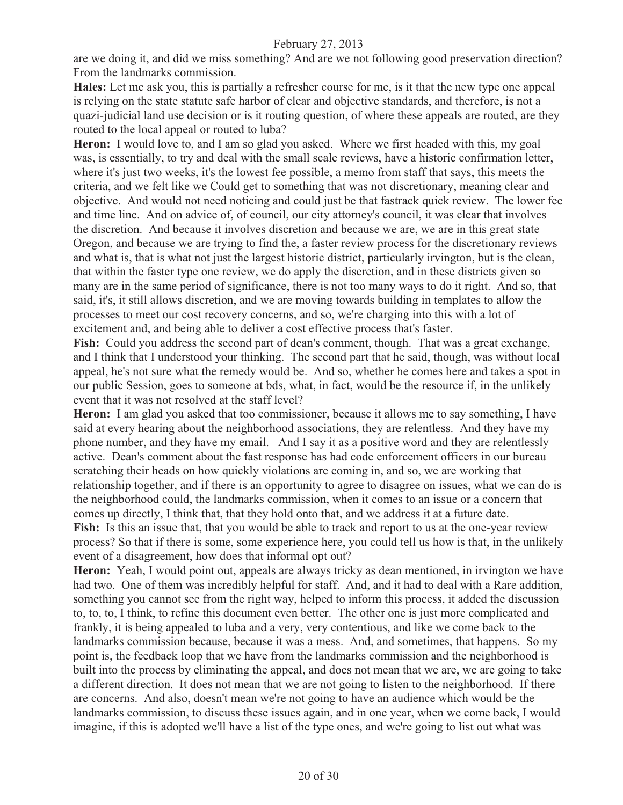are we doing it, and did we miss something? And are we not following good preservation direction? From the landmarks commission.

**Hales:** Let me ask you, this is partially a refresher course for me, is it that the new type one appeal is relying on the state statute safe harbor of clear and objective standards, and therefore, is not a quazi-judicial land use decision or is it routing question, of where these appeals are routed, are they routed to the local appeal or routed to luba?

**Heron:** I would love to, and I am so glad you asked. Where we first headed with this, my goal was, is essentially, to try and deal with the small scale reviews, have a historic confirmation letter, where it's just two weeks, it's the lowest fee possible, a memo from staff that says, this meets the criteria, and we felt like we Could get to something that was not discretionary, meaning clear and objective. And would not need noticing and could just be that fastrack quick review. The lower fee and time line. And on advice of, of council, our city attorney's council, it was clear that involves the discretion. And because it involves discretion and because we are, we are in this great state Oregon, and because we are trying to find the, a faster review process for the discretionary reviews and what is, that is what not just the largest historic district, particularly irvington, but is the clean, that within the faster type one review, we do apply the discretion, and in these districts given so many are in the same period of significance, there is not too many ways to do it right. And so, that said, it's, it still allows discretion, and we are moving towards building in templates to allow the processes to meet our cost recovery concerns, and so, we're charging into this with a lot of excitement and, and being able to deliver a cost effective process that's faster.

**Fish:** Could you address the second part of dean's comment, though. That was a great exchange, and I think that I understood your thinking. The second part that he said, though, was without local appeal, he's not sure what the remedy would be. And so, whether he comes here and takes a spot in our public Session, goes to someone at bds, what, in fact, would be the resource if, in the unlikely event that it was not resolved at the staff level?

**Heron:** I am glad you asked that too commissioner, because it allows me to say something, I have said at every hearing about the neighborhood associations, they are relentless. And they have my phone number, and they have my email. And I say it as a positive word and they are relentlessly active. Dean's comment about the fast response has had code enforcement officers in our bureau scratching their heads on how quickly violations are coming in, and so, we are working that relationship together, and if there is an opportunity to agree to disagree on issues, what we can do is the neighborhood could, the landmarks commission, when it comes to an issue or a concern that comes up directly, I think that, that they hold onto that, and we address it at a future date. **Fish:** Is this an issue that, that you would be able to track and report to us at the one-year review process? So that if there is some, some experience here, you could tell us how is that, in the unlikely

event of a disagreement, how does that informal opt out? **Heron:** Yeah, I would point out, appeals are always tricky as dean mentioned, in irvington we have had two. One of them was incredibly helpful for staff. And, and it had to deal with a Rare addition, something you cannot see from the right way, helped to inform this process, it added the discussion to, to, to, I think, to refine this document even better. The other one is just more complicated and frankly, it is being appealed to luba and a very, very contentious, and like we come back to the landmarks commission because, because it was a mess. And, and sometimes, that happens. So my point is, the feedback loop that we have from the landmarks commission and the neighborhood is built into the process by eliminating the appeal, and does not mean that we are, we are going to take a different direction. It does not mean that we are not going to listen to the neighborhood. If there

are concerns. And also, doesn't mean we're not going to have an audience which would be the landmarks commission, to discuss these issues again, and in one year, when we come back, I would imagine, if this is adopted we'll have a list of the type ones, and we're going to list out what was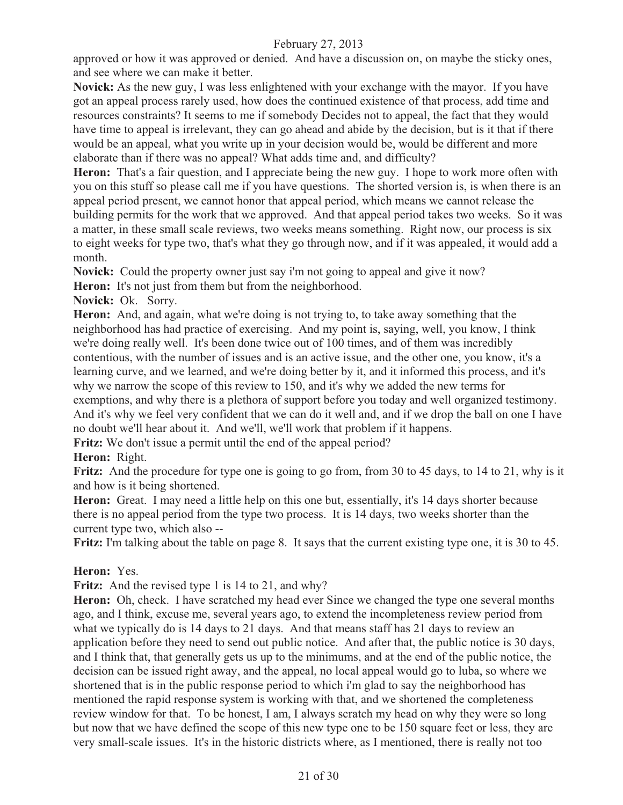approved or how it was approved or denied. And have a discussion on, on maybe the sticky ones, and see where we can make it better.

**Novick:** As the new guy, I was less enlightened with your exchange with the mayor. If you have got an appeal process rarely used, how does the continued existence of that process, add time and resources constraints? It seems to me if somebody Decides not to appeal, the fact that they would have time to appeal is irrelevant, they can go ahead and abide by the decision, but is it that if there would be an appeal, what you write up in your decision would be, would be different and more elaborate than if there was no appeal? What adds time and, and difficulty?

**Heron:** That's a fair question, and I appreciate being the new guy. I hope to work more often with you on this stuff so please call me if you have questions. The shorted version is, is when there is an appeal period present, we cannot honor that appeal period, which means we cannot release the building permits for the work that we approved. And that appeal period takes two weeks. So it was a matter, in these small scale reviews, two weeks means something. Right now, our process is six to eight weeks for type two, that's what they go through now, and if it was appealed, it would add a month.

**Novick:** Could the property owner just say i'm not going to appeal and give it now?

Heron: It's not just from them but from the neighborhood.

**Novick:** Ok. Sorry.

**Heron:** And, and again, what we're doing is not trying to, to take away something that the neighborhood has had practice of exercising. And my point is, saying, well, you know, I think we're doing really well. It's been done twice out of 100 times, and of them was incredibly contentious, with the number of issues and is an active issue, and the other one, you know, it's a learning curve, and we learned, and we're doing better by it, and it informed this process, and it's why we narrow the scope of this review to 150, and it's why we added the new terms for exemptions, and why there is a plethora of support before you today and well organized testimony. And it's why we feel very confident that we can do it well and, and if we drop the ball on one I have no doubt we'll hear about it. And we'll, we'll work that problem if it happens.

**Fritz:** We don't issue a permit until the end of the appeal period?

## **Heron:** Right.

Fritz: And the procedure for type one is going to go from, from 30 to 45 days, to 14 to 21, why is it and how is it being shortened.

Heron: Great. I may need a little help on this one but, essentially, it's 14 days shorter because there is no appeal period from the type two process. It is 14 days, two weeks shorter than the current type two, which also --

**Fritz:** I'm talking about the table on page 8. It says that the current existing type one, it is 30 to 45.

#### **Heron:** Yes.

Fritz: And the revised type 1 is 14 to 21, and why?

**Heron:** Oh, check. I have scratched my head ever Since we changed the type one several months ago, and I think, excuse me, several years ago, to extend the incompleteness review period from what we typically do is 14 days to 21 days. And that means staff has 21 days to review an application before they need to send out public notice. And after that, the public notice is 30 days, and I think that, that generally gets us up to the minimums, and at the end of the public notice, the decision can be issued right away, and the appeal, no local appeal would go to luba, so where we shortened that is in the public response period to which i'm glad to say the neighborhood has mentioned the rapid response system is working with that, and we shortened the completeness review window for that. To be honest, I am, I always scratch my head on why they were so long but now that we have defined the scope of this new type one to be 150 square feet or less, they are very small-scale issues. It's in the historic districts where, as I mentioned, there is really not too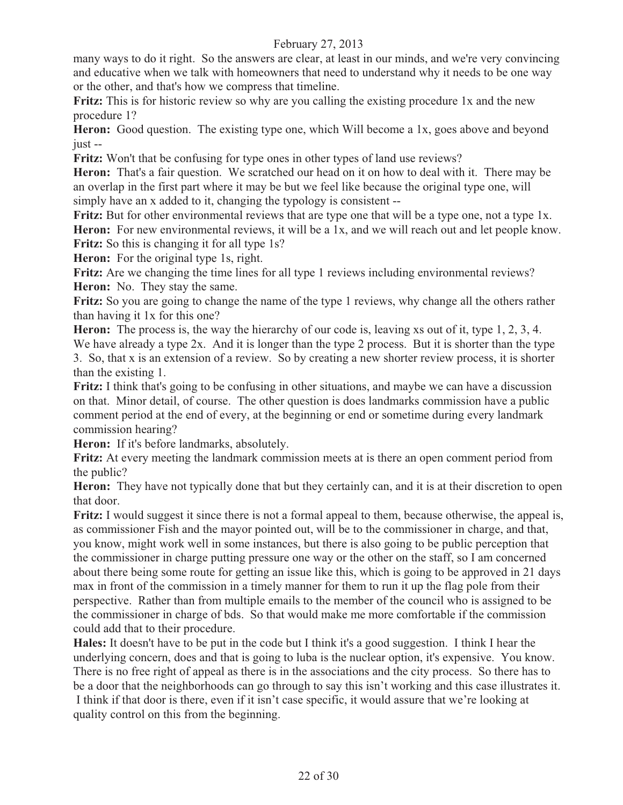many ways to do it right. So the answers are clear, at least in our minds, and we're very convincing and educative when we talk with homeowners that need to understand why it needs to be one way or the other, and that's how we compress that timeline.

**Fritz:** This is for historic review so why are you calling the existing procedure 1x and the new procedure 1?

Heron: Good question. The existing type one, which Will become a 1x, goes above and beyond just --

**Fritz:** Won't that be confusing for type ones in other types of land use reviews?

**Heron:** That's a fair question. We scratched our head on it on how to deal with it. There may be an overlap in the first part where it may be but we feel like because the original type one, will simply have an x added to it, changing the typology is consistent --

**Fritz:** But for other environmental reviews that are type one that will be a type one, not a type 1x. Heron: For new environmental reviews, it will be a 1x, and we will reach out and let people know. **Fritz:** So this is changing it for all type 1s?

**Heron:** For the original type 1s, right.

Fritz: Are we changing the time lines for all type 1 reviews including environmental reviews? **Heron:** No. They stay the same.

**Fritz:** So you are going to change the name of the type 1 reviews, why change all the others rather than having it 1x for this one?

**Heron:** The process is, the way the hierarchy of our code is, leaving xs out of it, type 1, 2, 3, 4. We have already a type 2x. And it is longer than the type 2 process. But it is shorter than the type 3. So, that x is an extension of a review. So by creating a new shorter review process, it is shorter than the existing 1.

**Fritz:** I think that's going to be confusing in other situations, and maybe we can have a discussion on that. Minor detail, of course. The other question is does landmarks commission have a public comment period at the end of every, at the beginning or end or sometime during every landmark commission hearing?

**Heron:** If it's before landmarks, absolutely.

**Fritz:** At every meeting the landmark commission meets at is there an open comment period from the public?

**Heron:** They have not typically done that but they certainly can, and it is at their discretion to open that door.

**Fritz:** I would suggest it since there is not a formal appeal to them, because otherwise, the appeal is, as commissioner Fish and the mayor pointed out, will be to the commissioner in charge, and that, you know, might work well in some instances, but there is also going to be public perception that the commissioner in charge putting pressure one way or the other on the staff, so I am concerned about there being some route for getting an issue like this, which is going to be approved in 21 days max in front of the commission in a timely manner for them to run it up the flag pole from their perspective. Rather than from multiple emails to the member of the council who is assigned to be the commissioner in charge of bds. So that would make me more comfortable if the commission could add that to their procedure.

**Hales:** It doesn't have to be put in the code but I think it's a good suggestion. I think I hear the underlying concern, does and that is going to luba is the nuclear option, it's expensive. You know. There is no free right of appeal as there is in the associations and the city process. So there has to be a door that the neighborhoods can go through to say this isn't working and this case illustrates it. I think if that door is there, even if it isn't case specific, it would assure that we're looking at quality control on this from the beginning.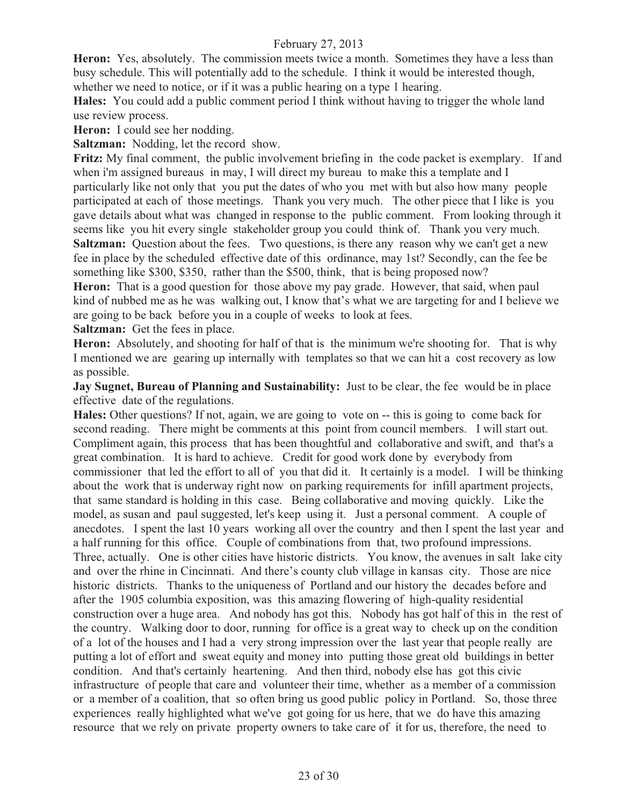**Heron:** Yes, absolutely. The commission meets twice a month. Sometimes they have a less than busy schedule. This will potentially add to the schedule. I think it would be interested though, whether we need to notice, or if it was a public hearing on a type 1 hearing.

**Hales:** You could add a public comment period I think without having to trigger the whole land use review process.

**Heron:** I could see her nodding.

**Saltzman:** Nodding, let the record show.

**Fritz:** My final comment, the public involvement briefing in the code packet is exemplary. If and when i'm assigned bureaus in may, I will direct my bureau to make this a template and I particularly like not only that you put the dates of who you met with but also how many people participated at each of those meetings. Thank you very much. The other piece that I like is you gave details about what was changed in response to the public comment. From looking through it seems like you hit every single stakeholder group you could think of. Thank you very much. **Saltzman:** Question about the fees. Two questions, is there any reason why we can't get a new fee in place by the scheduled effective date of this ordinance, may 1st? Secondly, can the fee be something like \$300, \$350, rather than the \$500, think, that is being proposed now?

**Heron:** That is a good question for those above my pay grade. However, that said, when paul kind of nubbed me as he was walking out, I know that's what we are targeting for and I believe we are going to be back before you in a couple of weeks to look at fees.

**Saltzman:** Get the fees in place.

**Heron:** Absolutely, and shooting for half of that is the minimum we're shooting for. That is why I mentioned we are gearing up internally with templates so that we can hit a cost recovery as low as possible.

**Jay Sugnet, Bureau of Planning and Sustainability:** Just to be clear, the fee would be in place effective date of the regulations.

**Hales:** Other questions? If not, again, we are going to vote on -- this is going to come back for second reading. There might be comments at this point from council members. I will start out. Compliment again, this process that has been thoughtful and collaborative and swift, and that's a great combination. It is hard to achieve. Credit for good work done by everybody from commissioner that led the effort to all of you that did it. It certainly is a model. I will be thinking about the work that is underway right now on parking requirements for infill apartment projects, that same standard is holding in this case. Being collaborative and moving quickly. Like the model, as susan and paul suggested, let's keep using it. Just a personal comment. A couple of anecdotes. I spent the last 10 years working all over the country and then I spent the last year and a half running for this office. Couple of combinations from that, two profound impressions. Three, actually. One is other cities have historic districts. You know, the avenues in salt lake city and over the rhine in Cincinnati. And there's county club village in kansas city. Those are nice historic districts. Thanks to the uniqueness of Portland and our history the decades before and after the 1905 columbia exposition, was this amazing flowering of high-quality residential construction over a huge area. And nobody has got this. Nobody has got half of this in the rest of the country. Walking door to door, running for office is a great way to check up on the condition of a lot of the houses and I had a very strong impression over the last year that people really are putting a lot of effort and sweat equity and money into putting those great old buildings in better condition. And that's certainly heartening. And then third, nobody else has got this civic infrastructure of people that care and volunteer their time, whether as a member of a commission or a member of a coalition, that so often bring us good public policy in Portland. So, those three experiences really highlighted what we've got going for us here, that we do have this amazing resource that we rely on private property owners to take care of it for us, therefore, the need to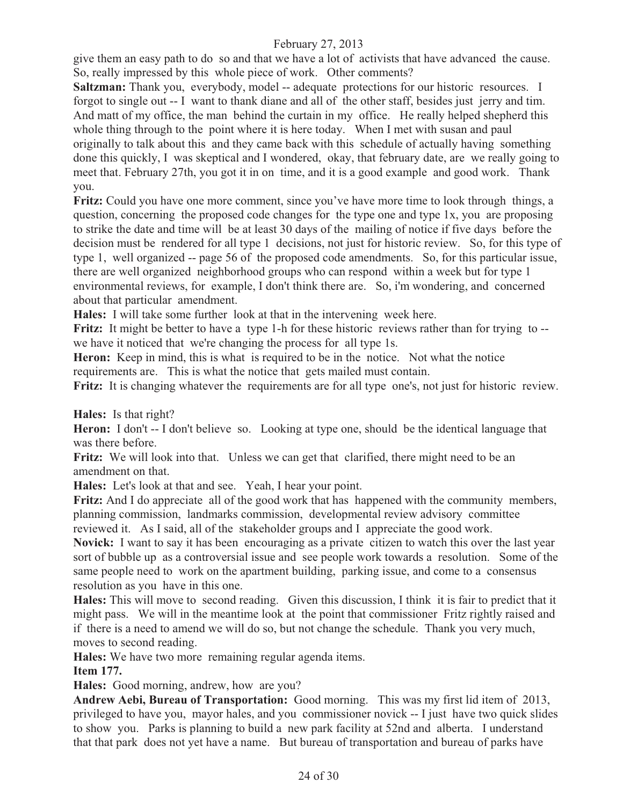give them an easy path to do so and that we have a lot of activists that have advanced the cause. So, really impressed by this whole piece of work. Other comments?

**Saltzman:** Thank you, everybody, model -- adequate protections for our historic resources. I forgot to single out -- I want to thank diane and all of the other staff, besides just jerry and tim. And matt of my office, the man behind the curtain in my office. He really helped shepherd this whole thing through to the point where it is here today. When I met with susan and paul originally to talk about this and they came back with this schedule of actually having something done this quickly, I was skeptical and I wondered, okay, that february date, are we really going to meet that. February 27th, you got it in on time, and it is a good example and good work. Thank you.

**Fritz:** Could you have one more comment, since you've have more time to look through things, a question, concerning the proposed code changes for the type one and type 1x, you are proposing to strike the date and time will be at least 30 days of the mailing of notice if five days before the decision must be rendered for all type 1 decisions, not just for historic review. So, for this type of type 1, well organized -- page 56 of the proposed code amendments. So, for this particular issue, there are well organized neighborhood groups who can respond within a week but for type 1 environmental reviews, for example, I don't think there are. So, i'm wondering, and concerned about that particular amendment.

**Hales:** I will take some further look at that in the intervening week here.

**Fritz:** It might be better to have a type 1-h for these historic reviews rather than for trying to - we have it noticed that we're changing the process for all type 1s.

Heron: Keep in mind, this is what is required to be in the notice. Not what the notice requirements are. This is what the notice that gets mailed must contain.

**Fritz:** It is changing whatever the requirements are for all type one's, not just for historic review.

**Hales:** Is that right?

**Heron:** I don't -- I don't believe so. Looking at type one, should be the identical language that was there before.

Fritz: We will look into that. Unless we can get that clarified, there might need to be an amendment on that.

**Hales:** Let's look at that and see. Yeah, I hear your point.

**Fritz:** And I do appreciate all of the good work that has happened with the community members, planning commission, landmarks commission, developmental review advisory committee reviewed it. As I said, all of the stakeholder groups and I appreciate the good work.

**Novick:** I want to say it has been encouraging as a private citizen to watch this over the last year sort of bubble up as a controversial issue and see people work towards a resolution. Some of the same people need to work on the apartment building, parking issue, and come to a consensus resolution as you have in this one.

**Hales:** This will move to second reading. Given this discussion, I think it is fair to predict that it might pass. We will in the meantime look at the point that commissioner Fritz rightly raised and if there is a need to amend we will do so, but not change the schedule. Thank you very much, moves to second reading.

**Hales:** We have two more remaining regular agenda items.

#### **Item 177.**

**Hales:** Good morning, andrew, how are you?

**Andrew Aebi, Bureau of Transportation:** Good morning. This was my first lid item of 2013, privileged to have you, mayor hales, and you commissioner novick -- I just have two quick slides to show you. Parks is planning to build a new park facility at 52nd and alberta. I understand that that park does not yet have a name. But bureau of transportation and bureau of parks have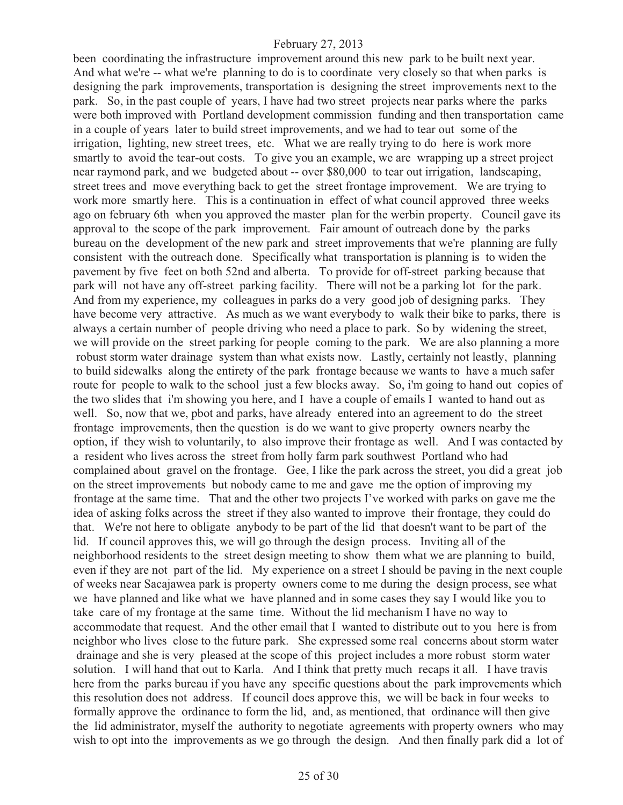been coordinating the infrastructure improvement around this new park to be built next year. And what we're -- what we're planning to do is to coordinate very closely so that when parks is designing the park improvements, transportation is designing the street improvements next to the park. So, in the past couple of years, I have had two street projects near parks where the parks were both improved with Portland development commission funding and then transportation came in a couple of years later to build street improvements, and we had to tear out some of the irrigation, lighting, new street trees, etc. What we are really trying to do here is work more smartly to avoid the tear-out costs. To give you an example, we are wrapping up a street project near raymond park, and we budgeted about -- over \$80,000 to tear out irrigation, landscaping, street trees and move everything back to get the street frontage improvement. We are trying to work more smartly here. This is a continuation in effect of what council approved three weeks ago on february 6th when you approved the master plan for the werbin property. Council gave its approval to the scope of the park improvement. Fair amount of outreach done by the parks bureau on the development of the new park and street improvements that we're planning are fully consistent with the outreach done. Specifically what transportation is planning is to widen the pavement by five feet on both 52nd and alberta. To provide for off-street parking because that park will not have any off-street parking facility. There will not be a parking lot for the park. And from my experience, my colleagues in parks do a very good job of designing parks. They have become very attractive. As much as we want everybody to walk their bike to parks, there is always a certain number of people driving who need a place to park. So by widening the street, we will provide on the street parking for people coming to the park. We are also planning a more robust storm water drainage system than what exists now. Lastly, certainly not leastly, planning to build sidewalks along the entirety of the park frontage because we wants to have a much safer route for people to walk to the school just a few blocks away. So, i'm going to hand out copies of the two slides that i'm showing you here, and I have a couple of emails I wanted to hand out as well. So, now that we, pbot and parks, have already entered into an agreement to do the street frontage improvements, then the question is do we want to give property owners nearby the option, if they wish to voluntarily, to also improve their frontage as well. And I was contacted by a resident who lives across the street from holly farm park southwest Portland who had complained about gravel on the frontage. Gee, I like the park across the street, you did a great job on the street improvements but nobody came to me and gave me the option of improving my frontage at the same time. That and the other two projects I've worked with parks on gave me the idea of asking folks across the street if they also wanted to improve their frontage, they could do that. We're not here to obligate anybody to be part of the lid that doesn't want to be part of the lid. If council approves this, we will go through the design process. Inviting all of the neighborhood residents to the street design meeting to show them what we are planning to build, even if they are not part of the lid. My experience on a street I should be paving in the next couple of weeks near Sacajawea park is property owners come to me during the design process, see what we have planned and like what we have planned and in some cases they say I would like you to take care of my frontage at the same time. Without the lid mechanism I have no way to accommodate that request. And the other email that I wanted to distribute out to you here is from neighbor who lives close to the future park. She expressed some real concerns about storm water drainage and she is very pleased at the scope of this project includes a more robust storm water solution. I will hand that out to Karla. And I think that pretty much recaps it all. I have travis here from the parks bureau if you have any specific questions about the park improvements which this resolution does not address. If council does approve this, we will be back in four weeks to formally approve the ordinance to form the lid, and, as mentioned, that ordinance will then give the lid administrator, myself the authority to negotiate agreements with property owners who may wish to opt into the improvements as we go through the design. And then finally park did a lot of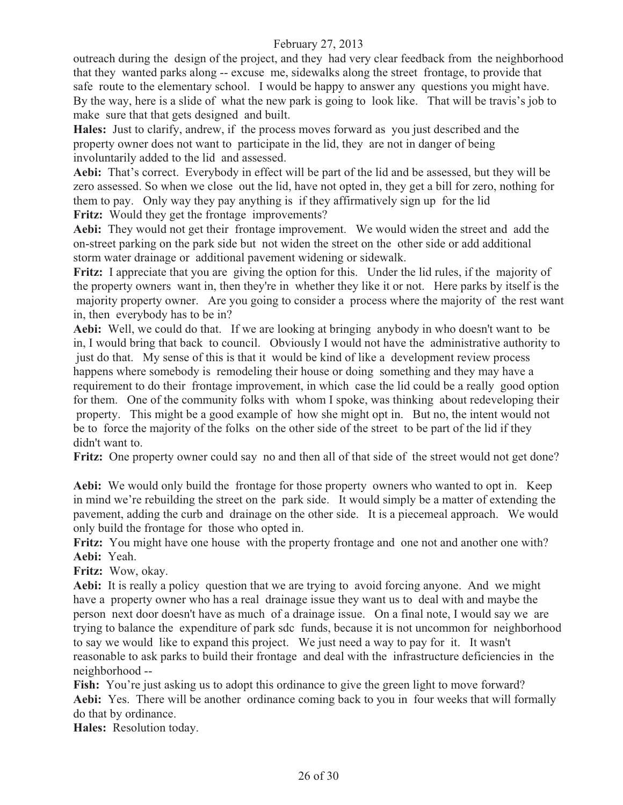outreach during the design of the project, and they had very clear feedback from the neighborhood that they wanted parks along -- excuse me, sidewalks along the street frontage, to provide that safe route to the elementary school. I would be happy to answer any questions you might have. By the way, here is a slide of what the new park is going to look like. That will be travis's job to make sure that that gets designed and built.

**Hales:** Just to clarify, andrew, if the process moves forward as you just described and the property owner does not want to participate in the lid, they are not in danger of being involuntarily added to the lid and assessed.

**Aebi:** That's correct. Everybody in effect will be part of the lid and be assessed, but they will be zero assessed. So when we close out the lid, have not opted in, they get a bill for zero, nothing for them to pay. Only way they pay anything is if they affirmatively sign up for the lid Fritz: Would they get the frontage improvements?

**Aebi:** They would not get their frontage improvement. We would widen the street and add the on-street parking on the park side but not widen the street on the other side or add additional storm water drainage or additional pavement widening or sidewalk.

**Fritz:** I appreciate that you are giving the option for this. Under the lid rules, if the majority of the property owners want in, then they're in whether they like it or not. Here parks by itself is the majority property owner. Are you going to consider a process where the majority of the rest want in, then everybody has to be in?

**Aebi:** Well, we could do that. If we are looking at bringing anybody in who doesn't want to be in, I would bring that back to council. Obviously I would not have the administrative authority to just do that. My sense of this is that it would be kind of like a development review process happens where somebody is remodeling their house or doing something and they may have a requirement to do their frontage improvement, in which case the lid could be a really good option for them. One of the community folks with whom I spoke, was thinking about redeveloping their property. This might be a good example of how she might opt in. But no, the intent would not be to force the majority of the folks on the other side of the street to be part of the lid if they didn't want to.

Fritz: One property owner could say no and then all of that side of the street would not get done?

**Aebi:** We would only build the frontage for those property owners who wanted to opt in. Keep in mind we're rebuilding the street on the park side. It would simply be a matter of extending the pavement, adding the curb and drainage on the other side. It is a piecemeal approach. We would only build the frontage for those who opted in.

Fritz: You might have one house with the property frontage and one not and another one with? **Aebi:** Yeah.

**Fritz:** Wow, okay.

**Aebi:** It is really a policy question that we are trying to avoid forcing anyone. And we might have a property owner who has a real drainage issue they want us to deal with and maybe the person next door doesn't have as much of a drainage issue. On a final note, I would say we are trying to balance the expenditure of park sdc funds, because it is not uncommon for neighborhood to say we would like to expand this project. We just need a way to pay for it. It wasn't reasonable to ask parks to build their frontage and deal with the infrastructure deficiencies in the neighborhood --

Fish: You're just asking us to adopt this ordinance to give the green light to move forward? **Aebi:** Yes. There will be another ordinance coming back to you in four weeks that will formally do that by ordinance.

**Hales:** Resolution today.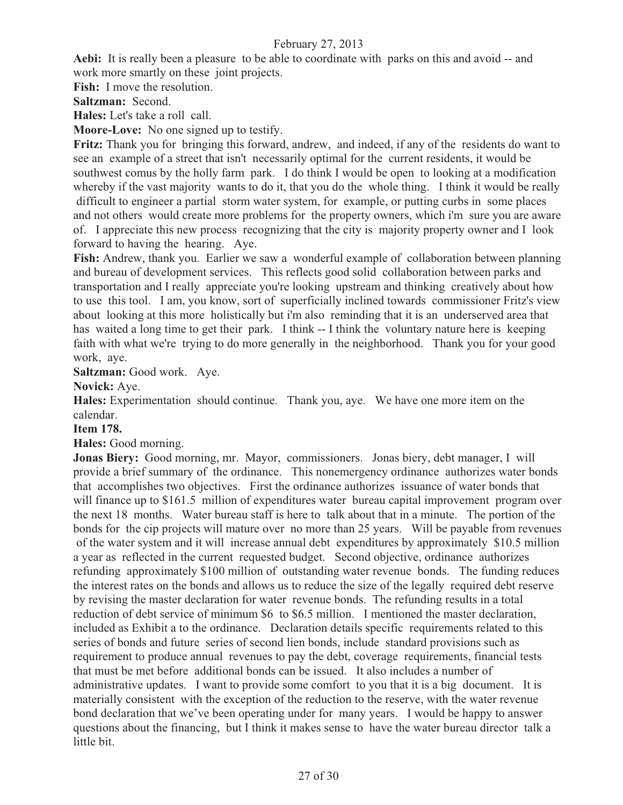**Aebi:** It is really been a pleasure to be able to coordinate with parks on this and avoid -- and work more smartly on these joint projects.

**Fish:** I move the resolution.

**Saltzman:** Second.

**Hales:** Let's take a roll call.

**Moore-Love:** No one signed up to testify.

**Fritz:** Thank you for bringing this forward, andrew, and indeed, if any of the residents do want to see an example of a street that isn't necessarily optimal for the current residents, it would be southwest comus by the holly farm park. I do think I would be open to looking at a modification whereby if the vast majority wants to do it, that you do the whole thing. I think it would be really difficult to engineer a partial storm water system, for example, or putting curbs in some places and not others would create more problems for the property owners, which i'm sure you are aware of. I appreciate this new process recognizing that the city is majority property owner and I look forward to having the hearing. Aye.

**Fish:** Andrew, thank you. Earlier we saw a wonderful example of collaboration between planning and bureau of development services. This reflects good solid collaboration between parks and transportation and I really appreciate you're looking upstream and thinking creatively about how to use this tool. I am, you know, sort of superficially inclined towards commissioner Fritz's view about looking at this more holistically but i'm also reminding that it is an underserved area that has waited a long time to get their park. I think -- I think the voluntary nature here is keeping faith with what we're trying to do more generally in the neighborhood. Thank you for your good work, aye.

**Saltzman:** Good work. Aye.

**Novick:** Aye.

**Hales:** Experimentation should continue. Thank you, aye. We have one more item on the calendar.

**Item 178.** 

**Hales:** Good morning.

**Jonas Biery:** Good morning, mr. Mayor, commissioners. Jonas biery, debt manager, I will provide a brief summary of the ordinance. This nonemergency ordinance authorizes water bonds that accomplishes two objectives. First the ordinance authorizes issuance of water bonds that will finance up to \$161.5 million of expenditures water bureau capital improvement program over the next 18 months. Water bureau staff is here to talk about that in a minute. The portion of the bonds for the cip projects will mature over no more than 25 years. Will be payable from revenues of the water system and it will increase annual debt expenditures by approximately \$10.5 million a year as reflected in the current requested budget. Second objective, ordinance authorizes refunding approximately \$100 million of outstanding water revenue bonds. The funding reduces the interest rates on the bonds and allows us to reduce the size of the legally required debt reserve by revising the master declaration for water revenue bonds. The refunding results in a total reduction of debt service of minimum \$6 to \$6.5 million. I mentioned the master declaration, included as Exhibit a to the ordinance. Declaration details specific requirements related to this series of bonds and future series of second lien bonds, include standard provisions such as requirement to produce annual revenues to pay the debt, coverage requirements, financial tests that must be met before additional bonds can be issued. It also includes a number of administrative updates. I want to provide some comfort to you that it is a big document. It is materially consistent with the exception of the reduction to the reserve, with the water revenue bond declaration that we've been operating under for many years. I would be happy to answer questions about the financing, but I think it makes sense to have the water bureau director talk a little bit.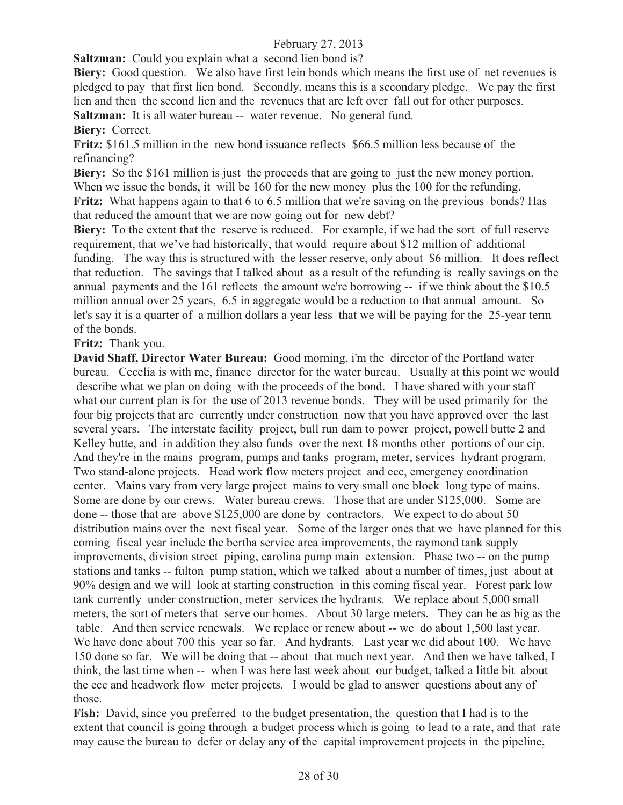**Saltzman:** Could you explain what a second lien bond is?

**Biery:** Good question. We also have first lein bonds which means the first use of net revenues is pledged to pay that first lien bond. Secondly, means this is a secondary pledge. We pay the first lien and then the second lien and the revenues that are left over fall out for other purposes. **Saltzman:** It is all water bureau -- water revenue. No general fund.

**Biery:** Correct.

**Fritz:** \$161.5 million in the new bond issuance reflects \$66.5 million less because of the refinancing?

**Biery:** So the \$161 million is just the proceeds that are going to just the new money portion. When we issue the bonds, it will be 160 for the new money plus the 100 for the refunding. Fritz: What happens again to that 6 to 6.5 million that we're saving on the previous bonds? Has that reduced the amount that we are now going out for new debt?

**Biery:** To the extent that the reserve is reduced. For example, if we had the sort of full reserve requirement, that we've had historically, that would require about \$12 million of additional funding. The way this is structured with the lesser reserve, only about \$6 million. It does reflect that reduction. The savings that I talked about as a result of the refunding is really savings on the annual payments and the 161 reflects the amount we're borrowing -- if we think about the \$10.5 million annual over 25 years, 6.5 in aggregate would be a reduction to that annual amount. So let's say it is a quarter of a million dollars a year less that we will be paying for the 25-year term of the bonds.

**Fritz:** Thank you.

**David Shaff, Director Water Bureau:** Good morning, i'm the director of the Portland water bureau. Cecelia is with me, finance director for the water bureau. Usually at this point we would describe what we plan on doing with the proceeds of the bond. I have shared with your staff what our current plan is for the use of 2013 revenue bonds. They will be used primarily for the four big projects that are currently under construction now that you have approved over the last several years. The interstate facility project, bull run dam to power project, powell butte 2 and Kelley butte, and in addition they also funds over the next 18 months other portions of our cip. And they're in the mains program, pumps and tanks program, meter, services hydrant program. Two stand-alone projects. Head work flow meters project and ecc, emergency coordination center. Mains vary from very large project mains to very small one block long type of mains. Some are done by our crews. Water bureau crews. Those that are under \$125,000. Some are done -- those that are above \$125,000 are done by contractors. We expect to do about 50 distribution mains over the next fiscal year. Some of the larger ones that we have planned for this coming fiscal year include the bertha service area improvements, the raymond tank supply improvements, division street piping, carolina pump main extension. Phase two -- on the pump stations and tanks -- fulton pump station, which we talked about a number of times, just about at 90% design and we will look at starting construction in this coming fiscal year. Forest park low tank currently under construction, meter services the hydrants. We replace about 5,000 small meters, the sort of meters that serve our homes. About 30 large meters. They can be as big as the table. And then service renewals. We replace or renew about -- we do about 1,500 last year. We have done about 700 this year so far. And hydrants. Last year we did about 100. We have 150 done so far. We will be doing that -- about that much next year. And then we have talked, I think, the last time when -- when I was here last week about our budget, talked a little bit about the ecc and headwork flow meter projects. I would be glad to answer questions about any of those.

**Fish:** David, since you preferred to the budget presentation, the question that I had is to the extent that council is going through a budget process which is going to lead to a rate, and that rate may cause the bureau to defer or delay any of the capital improvement projects in the pipeline,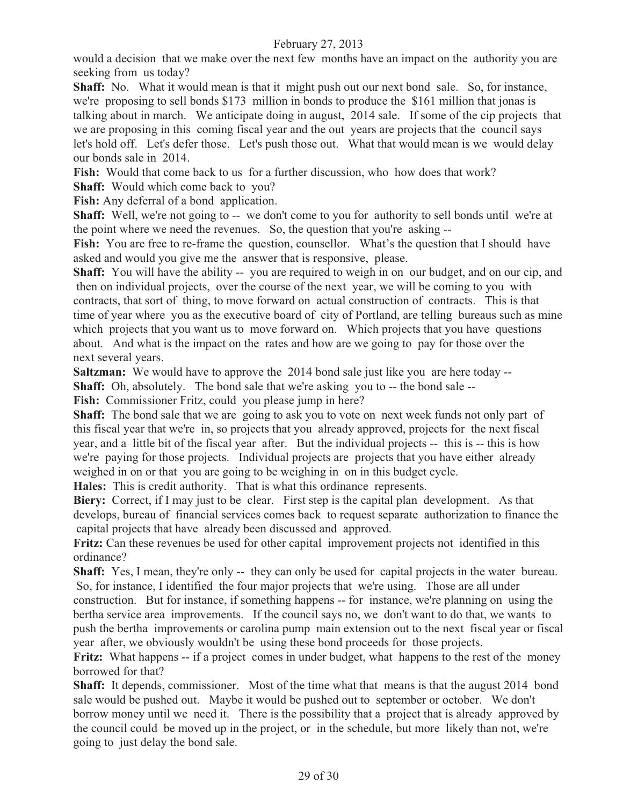would a decision that we make over the next few months have an impact on the authority you are seeking from us today?

**Shaff:** No. What it would mean is that it might push out our next bond sale. So, for instance, we're proposing to sell bonds \$173 million in bonds to produce the \$161 million that jonas is talking about in march. We anticipate doing in august, 2014 sale. If some of the cip projects that we are proposing in this coming fiscal year and the out years are projects that the council says let's hold off. Let's defer those. Let's push those out. What that would mean is we would delay our bonds sale in 2014.

**Fish:** Would that come back to us for a further discussion, who how does that work?

**Shaff:** Would which come back to you?

Fish: Any deferral of a bond application.

**Shaff:** Well, we're not going to -- we don't come to you for authority to sell bonds until we're at the point where we need the revenues. So, the question that you're asking --

Fish: You are free to re-frame the question, counsellor. What's the question that I should have asked and would you give me the answer that is responsive, please.

**Shaff:** You will have the ability -- you are required to weigh in on our budget, and on our cip, and then on individual projects, over the course of the next year, we will be coming to you with contracts, that sort of thing, to move forward on actual construction of contracts. This is that time of year where you as the executive board of city of Portland, are telling bureaus such as mine which projects that you want us to move forward on. Which projects that you have questions about. And what is the impact on the rates and how are we going to pay for those over the next several years.

**Saltzman:** We would have to approve the 2014 bond sale just like you are here today --

**Shaff:** Oh, absolutely. The bond sale that we're asking you to -- the bond sale --

Fish: Commissioner Fritz, could you please jump in here?

**Shaff:** The bond sale that we are going to ask you to vote on next week funds not only part of this fiscal year that we're in, so projects that you already approved, projects for the next fiscal year, and a little bit of the fiscal year after. But the individual projects -- this is -- this is how we're paying for those projects. Individual projects are projects that you have either already weighed in on or that you are going to be weighing in on in this budget cycle.

**Hales:** This is credit authority. That is what this ordinance represents.

**Biery:** Correct, if I may just to be clear. First step is the capital plan development. As that develops, bureau of financial services comes back to request separate authorization to finance the capital projects that have already been discussed and approved.

**Fritz:** Can these revenues be used for other capital improvement projects not identified in this ordinance?

**Shaff:** Yes, I mean, they're only -- they can only be used for capital projects in the water bureau. So, for instance, I identified the four major projects that we're using. Those are all under

construction. But for instance, if something happens -- for instance, we're planning on using the bertha service area improvements. If the council says no, we don't want to do that, we wants to push the bertha improvements or carolina pump main extension out to the next fiscal year or fiscal year after, we obviously wouldn't be using these bond proceeds for those projects.

**Fritz:** What happens -- if a project comes in under budget, what happens to the rest of the money borrowed for that?

**Shaff:** It depends, commissioner. Most of the time what that means is that the august 2014 bond sale would be pushed out. Maybe it would be pushed out to september or october. We don't borrow money until we need it. There is the possibility that a project that is already approved by the council could be moved up in the project, or in the schedule, but more likely than not, we're going to just delay the bond sale.